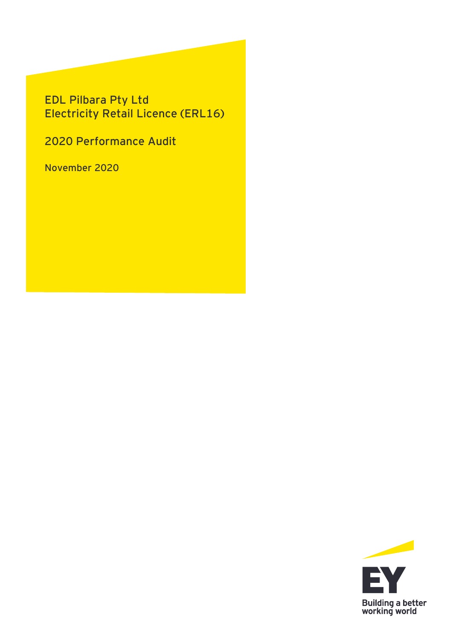## **EDL Pilbara Pty Ltd Electricity Retail Licence (ERL16)**

**2020 Performance Audit**

**November 2020**

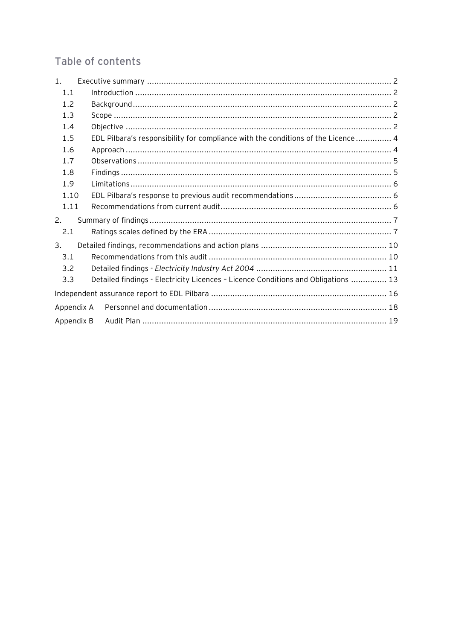## Table of contents

| 1 <sub>1</sub> |                                                                                   |  |  |  |  |  |  |  |
|----------------|-----------------------------------------------------------------------------------|--|--|--|--|--|--|--|
| 1.1            |                                                                                   |  |  |  |  |  |  |  |
| 1.2            |                                                                                   |  |  |  |  |  |  |  |
| 1.3            |                                                                                   |  |  |  |  |  |  |  |
| 1.4            |                                                                                   |  |  |  |  |  |  |  |
| 1.5            | EDL Pilbara's responsibility for compliance with the conditions of the Licence  4 |  |  |  |  |  |  |  |
| 1.6            |                                                                                   |  |  |  |  |  |  |  |
| 1.7            |                                                                                   |  |  |  |  |  |  |  |
| 1.8            |                                                                                   |  |  |  |  |  |  |  |
| 1.9            |                                                                                   |  |  |  |  |  |  |  |
| 1.10           |                                                                                   |  |  |  |  |  |  |  |
| 1.11           |                                                                                   |  |  |  |  |  |  |  |
| 2.             |                                                                                   |  |  |  |  |  |  |  |
| 2.1            |                                                                                   |  |  |  |  |  |  |  |
| 3.             |                                                                                   |  |  |  |  |  |  |  |
| 3.1            |                                                                                   |  |  |  |  |  |  |  |
| 3.2            |                                                                                   |  |  |  |  |  |  |  |
| 3.3            | Detailed findings - Electricity Licences - Licence Conditions and Obligations  13 |  |  |  |  |  |  |  |
|                |                                                                                   |  |  |  |  |  |  |  |
|                | Appendix A                                                                        |  |  |  |  |  |  |  |
| Appendix B     |                                                                                   |  |  |  |  |  |  |  |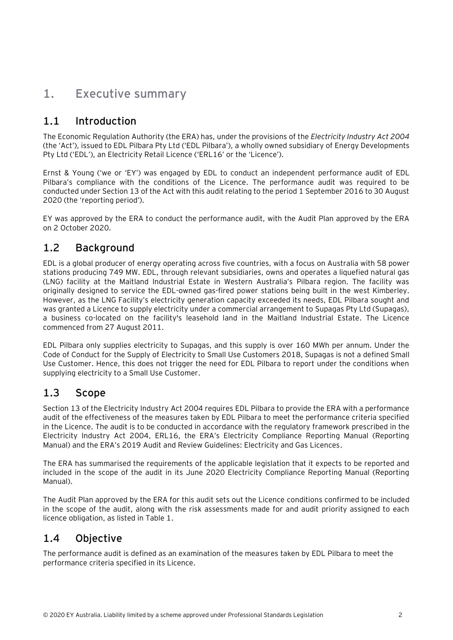## <span id="page-2-0"></span>**1. Executive summary**

### <span id="page-2-1"></span>**1.1 Introduction**

The Economic Regulation Authority (the ERA) has, under the provisions of the *Electricity Industry Act 2004* (the 'Act'), issued to EDL Pilbara Pty Ltd ('EDL Pilbara'), a wholly owned subsidiary of Energy Developments Pty Ltd ('EDL'), an Electricity Retail Licence ('ERL16' or the 'Licence').

Ernst & Young ('we or 'EY') was engaged by EDL to conduct an independent performance audit of EDL Pilbara's compliance with the conditions of the Licence. The performance audit was required to be conducted under Section 13 of the Act with this audit relating to the period 1 September 2016 to 30 August 2020 (the 'reporting period').

EY was approved by the ERA to conduct the performance audit, with the Audit Plan approved by the ERA on 2 October 2020.

### <span id="page-2-2"></span>**1.2 Background**

EDL is a global producer of energy operating across five countries, with a focus on Australia with 58 power stations producing 749 MW. EDL, through relevant subsidiaries, owns and operates a liquefied natural gas (LNG) facility at the Maitland Industrial Estate in Western Australia's Pilbara region. The facility was originally designed to service the EDL-owned gas-fired power stations being built in the west Kimberley. However, as the LNG Facility's electricity generation capacity exceeded its needs, EDL Pilbara sought and was granted a Licence to supply electricity under a commercial arrangement to Supagas Pty Ltd (Supagas), a business co-located on the facility's leasehold land in the Maitland Industrial Estate. The Licence commenced from 27 August 2011.

EDL Pilbara only supplies electricity to Supagas, and this supply is over 160 MWh per annum. Under the Code of Conduct for the Supply of Electricity to Small Use Customers 2018, Supagas is not a defined Small Use Customer. Hence, this does not trigger the need for EDL Pilbara to report under the conditions when supplying electricity to a Small Use Customer.

### <span id="page-2-3"></span>**1.3 Scope**

Section 13 of the Electricity Industry Act 2004 requires EDL Pilbara to provide the ERA with a performance audit of the effectiveness of the measures taken by EDL Pilbara to meet the performance criteria specified in the Licence. The audit is to be conducted in accordance with the regulatory framework prescribed in the Electricity Industry Act 2004, ERL16, the ERA's Electricity Compliance Reporting Manual (Reporting Manual) and the ERA's 2019 Audit and Review Guidelines: Electricity and Gas Licences.

The ERA has summarised the requirements of the applicable legislation that it expects to be reported and included in the scope of the audit in its June 2020 Electricity Compliance Reporting Manual (Reporting Manual).

The Audit Plan approved by the ERA for this audit sets out the Licence conditions confirmed to be included in the scope of the audit, along with the risk assessments made for and audit priority assigned to each licence obligation, as listed in Table 1.

## <span id="page-2-4"></span>**1.4 Objective**

The performance audit is defined as an examination of the measures taken by EDL Pilbara to meet the performance criteria specified in its Licence.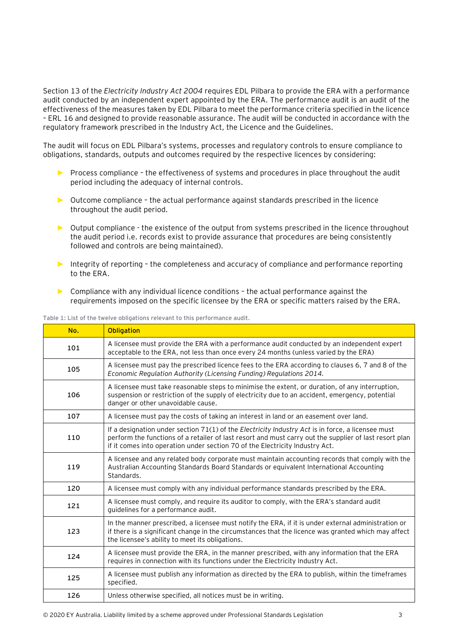Section 13 of the *Electricity Industry Act 2004* requires EDL Pilbara to provide the ERA with a performance audit conducted by an independent expert appointed by the ERA. The performance audit is an audit of the effectiveness of the measures taken by EDL Pilbara to meet the performance criteria specified in the licence – ERL 16 and designed to provide reasonable assurance. The audit will be conducted in accordance with the regulatory framework prescribed in the Industry Act, the Licence and the Guidelines.

The audit will focus on EDL Pilbara's systems, processes and regulatory controls to ensure compliance to obligations, standards, outputs and outcomes required by the respective licences by considering:

- ► Process compliance the effectiveness of systems and procedures in place throughout the audit period including the adequacy of internal controls.
- ► Outcome compliance the actual performance against standards prescribed in the licence throughout the audit period.
- ► Output compliance the existence of the output from systems prescribed in the licence throughout the audit period i.e. records exist to provide assurance that procedures are being consistently followed and controls are being maintained).
- ► Integrity of reporting the completeness and accuracy of compliance and performance reporting to the ERA.
- ► Compliance with any individual licence conditions the actual performance against the requirements imposed on the specific licensee by the ERA or specific matters raised by the ERA.

|  |  |  |  |  | Table 1: List of the twelve obligations relevant to this performance audit. |  |
|--|--|--|--|--|-----------------------------------------------------------------------------|--|
|--|--|--|--|--|-----------------------------------------------------------------------------|--|

| No. | <b>Obligation</b>                                                                                                                                                                                                                                                                           |
|-----|---------------------------------------------------------------------------------------------------------------------------------------------------------------------------------------------------------------------------------------------------------------------------------------------|
| 101 | A licensee must provide the ERA with a performance audit conducted by an independent expert<br>acceptable to the ERA, not less than once every 24 months (unless varied by the ERA)                                                                                                         |
| 105 | A licensee must pay the prescribed licence fees to the ERA according to clauses 6, 7 and 8 of the<br>Economic Regulation Authority (Licensing Funding) Regulations 2014.                                                                                                                    |
| 106 | A licensee must take reasonable steps to minimise the extent, or duration, of any interruption,<br>suspension or restriction of the supply of electricity due to an accident, emergency, potential<br>danger or other unavoidable cause.                                                    |
| 107 | A licensee must pay the costs of taking an interest in land or an easement over land.                                                                                                                                                                                                       |
| 110 | If a designation under section 71(1) of the Electricity Industry Act is in force, a licensee must<br>perform the functions of a retailer of last resort and must carry out the supplier of last resort plan<br>if it comes into operation under section 70 of the Electricity Industry Act. |
| 119 | A licensee and any related body corporate must maintain accounting records that comply with the<br>Australian Accounting Standards Board Standards or equivalent International Accounting<br>Standards.                                                                                     |
| 120 | A licensee must comply with any individual performance standards prescribed by the ERA.                                                                                                                                                                                                     |
| 121 | A licensee must comply, and require its auditor to comply, with the ERA's standard audit<br>quidelines for a performance audit.                                                                                                                                                             |
| 123 | In the manner prescribed, a licensee must notify the ERA, if it is under external administration or<br>if there is a significant change in the circumstances that the licence was granted which may affect<br>the licensee's ability to meet its obligations.                               |
| 124 | A licensee must provide the ERA, in the manner prescribed, with any information that the ERA<br>requires in connection with its functions under the Electricity Industry Act.                                                                                                               |
| 125 | A licensee must publish any information as directed by the ERA to publish, within the timeframes<br>specified.                                                                                                                                                                              |
| 126 | Unless otherwise specified, all notices must be in writing.                                                                                                                                                                                                                                 |
|     |                                                                                                                                                                                                                                                                                             |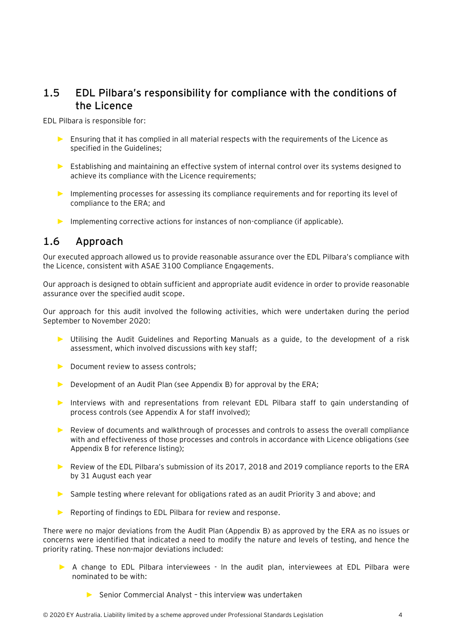### <span id="page-4-0"></span>**1.5 EDL Pilbara's responsibility for compliance with the conditions of the Licence**

EDL Pilbara is responsible for:

- ► Ensuring that it has complied in all material respects with the requirements of the Licence as specified in the Guidelines;
- ► Establishing and maintaining an effective system of internal control over its systems designed to achieve its compliance with the Licence requirements;
- ► Implementing processes for assessing its compliance requirements and for reporting its level of compliance to the ERA; and
- ► Implementing corrective actions for instances of non-compliance (if applicable).

### <span id="page-4-1"></span>**1.6 Approach**

Our executed approach allowed us to provide reasonable assurance over the EDL Pilbara's compliance with the Licence, consistent with ASAE 3100 Compliance Engagements.

Our approach is designed to obtain sufficient and appropriate audit evidence in order to provide reasonable assurance over the specified audit scope.

Our approach for this audit involved the following activities, which were undertaken during the period September to November 2020:

- Utilising the Audit Guidelines and Reporting Manuals as a guide, to the development of a risk assessment, which involved discussions with key staff;
- ► Document review to assess controls;
- ► Development of an Audit Plan (see Appendix B) for approval by the ERA;
- ► Interviews with and representations from relevant EDL Pilbara staff to gain understanding of process controls (see Appendix A for staff involved);
- ► Review of documents and walkthrough of processes and controls to assess the overall compliance with and effectiveness of those processes and controls in accordance with Licence obligations (see Appendix B for reference listing);
- ► Review of the EDL Pilbara's submission of its 2017, 2018 and 2019 compliance reports to the ERA by 31 August each year
- ► Sample testing where relevant for obligations rated as an audit Priority 3 and above; and
- ► Reporting of findings to EDL Pilbara for review and response.

There were no major deviations from the Audit Plan (Appendix B) as approved by the ERA as no issues or concerns were identified that indicated a need to modify the nature and levels of testing, and hence the priority rating. These non-major deviations included:

- ► A change to EDL Pilbara interviewees In the audit plan, interviewees at EDL Pilbara were nominated to be with:
	- ► Senior Commercial Analyst this interview was undertaken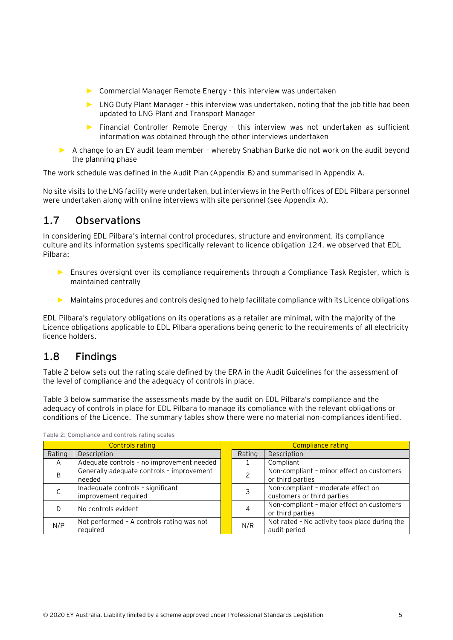- ► Commercial Manager Remote Energy this interview was undertaken
- ► LNG Duty Plant Manager this interview was undertaken, noting that the job title had been updated to LNG Plant and Transport Manager
- ► Financial Controller Remote Energy this interview was not undertaken as sufficient information was obtained through the other interviews undertaken
- ► A change to an EY audit team member whereby Shabhan Burke did not work on the audit beyond the planning phase

The work schedule was defined in the Audit Plan (Appendix B) and summarised in Appendix A.

No site visits to the LNG facility were undertaken, but interviews in the Perth offices of EDL Pilbara personnel were undertaken along with online interviews with site personnel (see Appendix A).

## <span id="page-5-0"></span>**1.7 Observations**

In considering EDL Pilbara's internal control procedures, structure and environment, its compliance culture and its information systems specifically relevant to licence obligation 124, we observed that EDL Pilbara:

- ► Ensures oversight over its compliance requirements through a Compliance Task Register, which is maintained centrally
- ► Maintains procedures and controls designed to help facilitate compliance with its Licence obligations

EDL Pilbara's regulatory obligations on its operations as a retailer are minimal, with the majority of the Licence obligations applicable to EDL Pilbara operations being generic to the requirements of all electricity licence holders.

### <span id="page-5-1"></span>**1.8 Findings**

[Table 2](#page-5-2) below sets out the rating scale defined by the ERA in the Audit Guidelines for the assessment of the level of compliance and the adequacy of controls in place.

Table 3 below summarise the assessments made by the audit on EDL Pilbara's compliance and the adequacy of controls in place for EDL Pilbara to manage its compliance with the relevant obligations or conditions of the Licence. The summary tables show there were no material non-compliances identified.

|        | <b>Controls rating</b>                                    | Compliance rating |                                                                  |  |  |
|--------|-----------------------------------------------------------|-------------------|------------------------------------------------------------------|--|--|
| Rating | Description                                               | Rating            | Description                                                      |  |  |
| A      | Adequate controls - no improvement needed                 |                   | Compliant                                                        |  |  |
| B      | Generally adequate controls - improvement<br>needed       |                   | Non-compliant - minor effect on customers<br>or third parties    |  |  |
|        | Inadequate controls - significant<br>improvement required |                   | Non-compliant - moderate effect on<br>customers or third parties |  |  |
|        | No controls evident                                       | 4                 | Non-compliant - major effect on customers<br>or third parties    |  |  |
| N/P    | Not performed - A controls rating was not<br>reguired     | N/R               | Not rated - No activity took place during the<br>audit period    |  |  |

<span id="page-5-2"></span>**Table 2: Compliance and controls rating scales**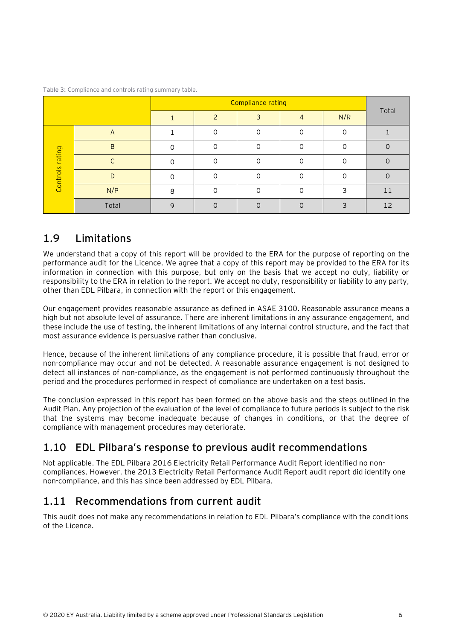|                 |              |          | <b>Compliance rating</b> |   |          |     |       |  |  |  |  |  |
|-----------------|--------------|----------|--------------------------|---|----------|-----|-------|--|--|--|--|--|
|                 |              |          |                          | 3 | 4        | N/R | Total |  |  |  |  |  |
|                 | $\mathsf{A}$ |          |                          |   | ∩        |     |       |  |  |  |  |  |
|                 | B            |          |                          |   | ∩        |     |       |  |  |  |  |  |
| Controls rating |              |          |                          |   | ∩        |     |       |  |  |  |  |  |
|                 |              |          |                          |   | $\Omega$ |     |       |  |  |  |  |  |
|                 | N/P          | 8        |                          |   | ∩        |     | 11    |  |  |  |  |  |
|                 | Total        | $\Omega$ |                          |   | ∩        |     | 12    |  |  |  |  |  |

**Table 3:** Compliance and controls rating summary table.

### <span id="page-6-0"></span>**1.9 Limitations**

We understand that a copy of this report will be provided to the ERA for the purpose of reporting on the performance audit for the Licence. We agree that a copy of this report may be provided to the ERA for its information in connection with this purpose, but only on the basis that we accept no duty, liability or responsibility to the ERA in relation to the report. We accept no duty, responsibility or liability to any party, other than EDL Pilbara, in connection with the report or this engagement.

Our engagement provides reasonable assurance as defined in ASAE 3100. Reasonable assurance means a high but not absolute level of assurance. There are inherent limitations in any assurance engagement, and these include the use of testing, the inherent limitations of any internal control structure, and the fact that most assurance evidence is persuasive rather than conclusive.

Hence, because of the inherent limitations of any compliance procedure, it is possible that fraud, error or non-compliance may occur and not be detected. A reasonable assurance engagement is not designed to detect all instances of non-compliance, as the engagement is not performed continuously throughout the period and the procedures performed in respect of compliance are undertaken on a test basis.

The conclusion expressed in this report has been formed on the above basis and the steps outlined in the Audit Plan. Any projection of the evaluation of the level of compliance to future periods is subject to the risk that the systems may become inadequate because of changes in conditions, or that the degree of compliance with management procedures may deteriorate.

## <span id="page-6-1"></span>**1.10 EDL Pilbara's response to previous audit recommendations**

Not applicable. The EDL Pilbara 2016 Electricity Retail Performance Audit Report identified no noncompliances. However, the 2013 Electricity Retail Performance Audit Report audit report did identify one non-compliance, and this has since been addressed by EDL Pilbara.

### <span id="page-6-2"></span>**1.11 Recommendations from current audit**

This audit does not make any recommendations in relation to EDL Pilbara's compliance with the conditions of the Licence.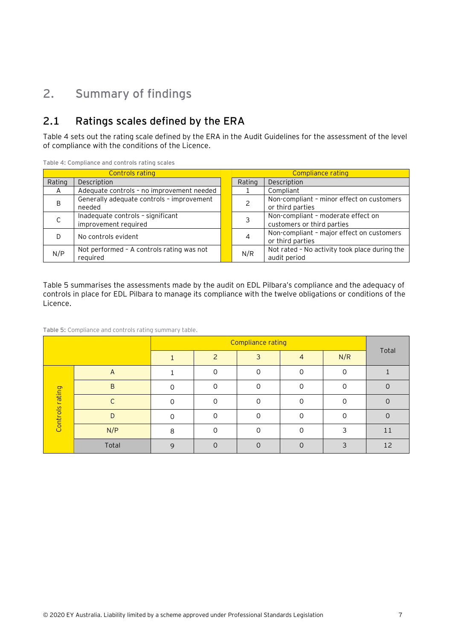# <span id="page-7-0"></span>**2. Summary of findings**

## <span id="page-7-1"></span>**2.1 Ratings scales defined by the ERA**

[Table 4](#page-7-2) sets out the rating scale defined by the ERA in the Audit Guidelines for the assessment of the level of compliance with the conditions of the Licence.

|        | <b>Controls rating</b>                                    | Compliance rating |                                                                  |  |
|--------|-----------------------------------------------------------|-------------------|------------------------------------------------------------------|--|
| Rating | Description                                               | Rating            | Description                                                      |  |
| A      | Adequate controls - no improvement needed                 |                   | Compliant                                                        |  |
| B      | Generally adequate controls - improvement<br>needed       |                   | Non-compliant - minor effect on customers<br>or third parties    |  |
|        | Inadequate controls - significant<br>improvement required |                   | Non-compliant - moderate effect on<br>customers or third parties |  |
|        | No controls evident                                       | 4                 | Non-compliant - major effect on customers<br>or third parties    |  |
| N/P    | Not performed - A controls rating was not<br>reguired     | N/R               | Not rated - No activity took place during the<br>audit period    |  |

<span id="page-7-2"></span>**Table 4: Compliance and controls rating scales**

[Table 5](#page-7-3) summarises the assessments made by the audit on EDL Pilbara's compliance and the adequacy of controls in place for EDL Pilbara to manage its compliance with the twelve obligations or conditions of the Licence.

<span id="page-7-3"></span>**Table 5:** Compliance and controls rating summary table.

|                 |       |              | 3        | 4        | N/R | Total |
|-----------------|-------|--------------|----------|----------|-----|-------|
|                 | A     |              | $\Omega$ | $\Omega$ | ∩   |       |
|                 | B     |              |          | $\Omega$ | ∩   |       |
| Controls rating |       |              |          | $\cap$   |     |       |
|                 | D     |              | 0        | $\Omega$ | Ω   | 0     |
|                 | N/P   | 8            |          | C        | ∍   | 11    |
|                 | Total | $\mathsf{Q}$ | $\cap$   | $\Omega$ | ς   | 12    |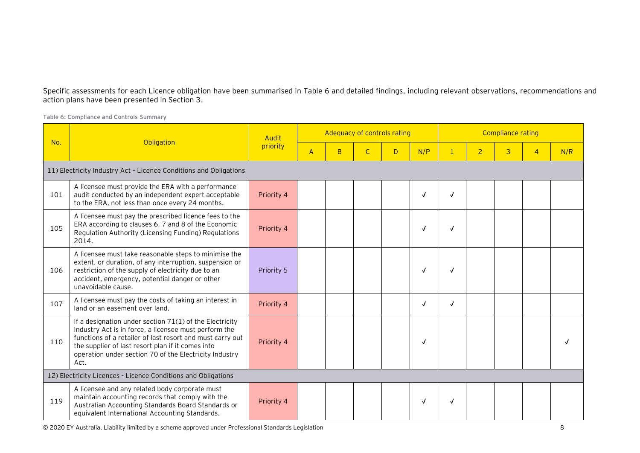Specific assessments for each Licence obligation have been summarised in [Table 6](#page-8-0) and detailed findings, including relevant observations, recommendations and action plans have been presented in Section 3.

<span id="page-8-0"></span>**Table 6: Compliance and Controls Summary**

|     |                                                                                                                                                                                                                                                                                                      | Audit      |                |    | Adequacy of controls rating |   |              |              |                | <b>Compliance rating</b> |                |     |
|-----|------------------------------------------------------------------------------------------------------------------------------------------------------------------------------------------------------------------------------------------------------------------------------------------------------|------------|----------------|----|-----------------------------|---|--------------|--------------|----------------|--------------------------|----------------|-----|
| No. | Obligation                                                                                                                                                                                                                                                                                           | priority   | $\overline{A}$ | B. | $\mathsf{C}$                | D | N/P          | $\mathbf{1}$ | $\overline{2}$ | 3                        | $\overline{4}$ | N/R |
|     | 11) Electricity Industry Act - Licence Conditions and Obligations                                                                                                                                                                                                                                    |            |                |    |                             |   |              |              |                |                          |                |     |
| 101 | A licensee must provide the ERA with a performance<br>audit conducted by an independent expert acceptable<br>to the ERA, not less than once every 24 months.                                                                                                                                         | Priority 4 |                |    |                             |   | $\checkmark$ | $\checkmark$ |                |                          |                |     |
| 105 | A licensee must pay the prescribed licence fees to the<br>ERA according to clauses 6, 7 and 8 of the Economic<br>Regulation Authority (Licensing Funding) Regulations<br>2014.                                                                                                                       | Priority 4 |                |    |                             |   | $\checkmark$ | $\checkmark$ |                |                          |                |     |
| 106 | A licensee must take reasonable steps to minimise the<br>extent, or duration, of any interruption, suspension or<br>restriction of the supply of electricity due to an<br>accident, emergency, potential danger or other<br>unavoidable cause.                                                       | Priority 5 |                |    |                             |   | $\checkmark$ | $\checkmark$ |                |                          |                |     |
| 107 | A licensee must pay the costs of taking an interest in<br>land or an easement over land.                                                                                                                                                                                                             | Priority 4 |                |    |                             |   | $\checkmark$ | $\sqrt{ }$   |                |                          |                |     |
| 110 | If a designation under section 71(1) of the Electricity<br>Industry Act is in force, a licensee must perform the<br>functions of a retailer of last resort and must carry out<br>the supplier of last resort plan if it comes into<br>operation under section 70 of the Electricity Industry<br>Act. | Priority 4 |                |    |                             |   | $\checkmark$ |              |                |                          |                |     |
|     | 12) Electricity Licences - Licence Conditions and Obligations                                                                                                                                                                                                                                        |            |                |    |                             |   |              |              |                |                          |                |     |
| 119 | A licensee and any related body corporate must<br>maintain accounting records that comply with the<br>Australian Accounting Standards Board Standards or<br>equivalent International Accounting Standards.                                                                                           | Priority 4 |                |    |                             |   | $\checkmark$ | √            |                |                          |                |     |

© 2020 EY Australia. Liability limited by a scheme approved under Professional Standards Legislation 8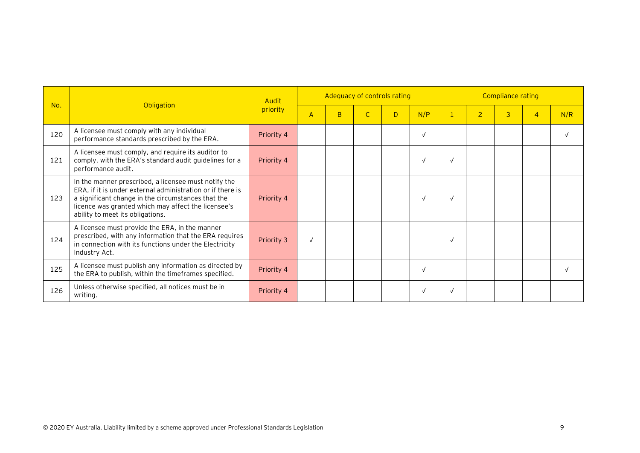|     |                                                                                                                                                                                                                                                                     | Audit      |                |   | Adequacy of controls rating |   |            | <b>Compliance rating</b> |                |   |                |     |
|-----|---------------------------------------------------------------------------------------------------------------------------------------------------------------------------------------------------------------------------------------------------------------------|------------|----------------|---|-----------------------------|---|------------|--------------------------|----------------|---|----------------|-----|
| No. | Obligation                                                                                                                                                                                                                                                          | priority   | $\overline{A}$ | B |                             | D | N/P        | $\mathbf{1}$             | $\overline{2}$ | 3 | $\overline{4}$ | N/R |
| 120 | A licensee must comply with any individual<br>performance standards prescribed by the ERA.                                                                                                                                                                          | Priority 4 |                |   |                             |   | $\sqrt{ }$ |                          |                |   |                |     |
| 121 | A licensee must comply, and require its auditor to<br>comply, with the ERA's standard audit guidelines for a<br>performance audit.                                                                                                                                  | Priority 4 |                |   |                             |   | $\sqrt{ }$ | À                        |                |   |                |     |
| 123 | In the manner prescribed, a licensee must notify the<br>ERA, if it is under external administration or if there is<br>a significant change in the circumstances that the<br>licence was granted which may affect the licensee's<br>ability to meet its obligations. | Priority 4 |                |   |                             |   |            |                          |                |   |                |     |
| 124 | A licensee must provide the ERA, in the manner<br>prescribed, with any information that the ERA requires<br>in connection with its functions under the Electricity<br>Industry Act.                                                                                 | Priority 3 |                |   |                             |   |            | N                        |                |   |                |     |
| 125 | A licensee must publish any information as directed by<br>the ERA to publish, within the timeframes specified.                                                                                                                                                      | Priority 4 |                |   |                             |   | $\sqrt{ }$ |                          |                |   |                |     |
| 126 | Unless otherwise specified, all notices must be in<br>writing.                                                                                                                                                                                                      | Priority 4 |                |   |                             |   | $\sqrt{ }$ |                          |                |   |                |     |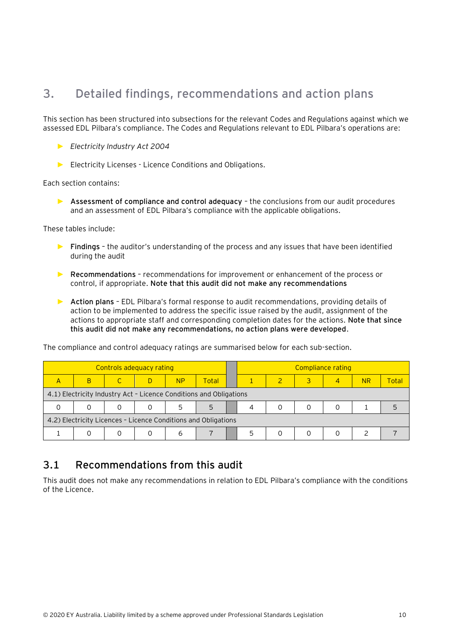## <span id="page-10-0"></span>**3. Detailed findings, recommendations and action plans**

This section has been structured into subsections for the relevant Codes and Regulations against which we assessed EDL Pilbara's compliance. The Codes and Regulations relevant to EDL Pilbara's operations are:

- ► *Electricity Industry Act 2004*
- ► Electricity Licenses Licence Conditions and Obligations.

Each section contains:

► **Assessment of compliance and control adequacy** – the conclusions from our audit procedures and an assessment of EDL Pilbara's compliance with the applicable obligations.

These tables include:

- ► **Findings** the auditor's understanding of the process and any issues that have been identified during the audit
- ► **Recommendations** recommendations for improvement or enhancement of the process or control, if appropriate. **Note that this audit did not make any recommendations**
- ► **Action plans** EDL Pilbara's formal response to audit recommendations, providing details of action to be implemented to address the specific issue raised by the audit, assignment of the actions to appropriate staff and corresponding completion dates for the actions. **Note that since this audit did not make any recommendations, no action plans were developed**.

| Controls adequacy rating                                       |                                                                    |  |  |           |       |  |  |  |  | Compliance rating |           |       |
|----------------------------------------------------------------|--------------------------------------------------------------------|--|--|-----------|-------|--|--|--|--|-------------------|-----------|-------|
| A                                                              | B                                                                  |  |  | <b>NP</b> | Total |  |  |  |  | 4                 | <b>NR</b> | Total |
|                                                                | 4.1) Electricity Industry Act - Licence Conditions and Obligations |  |  |           |       |  |  |  |  |                   |           |       |
|                                                                |                                                                    |  |  |           | 5     |  |  |  |  |                   |           |       |
| 4.2) Electricity Licences - Licence Conditions and Obligations |                                                                    |  |  |           |       |  |  |  |  |                   |           |       |
|                                                                |                                                                    |  |  | h         |       |  |  |  |  |                   |           |       |

The compliance and control adequacy ratings are summarised below for each sub-section.

### <span id="page-10-1"></span>**3.1 Recommendations from this audit**

This audit does not make any recommendations in relation to EDL Pilbara's compliance with the conditions of the Licence.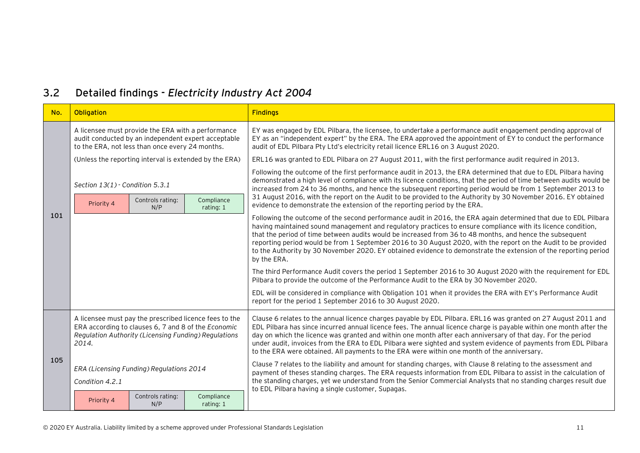## **3.2 Detailed findings -** *Electricity Industry Act 2004*

<span id="page-11-0"></span>

| No. | Obligation                                                                                                           |                         |                                                        | <b>Findings</b>                                                                                                                                                                                                                                                                                                                                                                                                                                                                                                                                                                                 |  |  |  |  |
|-----|----------------------------------------------------------------------------------------------------------------------|-------------------------|--------------------------------------------------------|-------------------------------------------------------------------------------------------------------------------------------------------------------------------------------------------------------------------------------------------------------------------------------------------------------------------------------------------------------------------------------------------------------------------------------------------------------------------------------------------------------------------------------------------------------------------------------------------------|--|--|--|--|
|     | A licensee must provide the ERA with a performance<br>to the ERA, not less than once every 24 months.                |                         | audit conducted by an independent expert acceptable    | EY was engaged by EDL Pilbara, the licensee, to undertake a performance audit engagement pending approval of<br>EY as an "independent expert" by the ERA. The ERA approved the appointment of EY to conduct the performance<br>audit of EDL Pilbara Pty Ltd's electricity retail licence ERL16 on 3 August 2020.                                                                                                                                                                                                                                                                                |  |  |  |  |
|     |                                                                                                                      |                         | (Unless the reporting interval is extended by the ERA) | ERL16 was granted to EDL Pilbara on 27 August 2011, with the first performance audit required in 2013.                                                                                                                                                                                                                                                                                                                                                                                                                                                                                          |  |  |  |  |
|     | Section $13(1)$ - Condition 5.3.1                                                                                    |                         |                                                        | Following the outcome of the first performance audit in 2013, the ERA determined that due to EDL Pilbara having<br>demonstrated a high level of compliance with its licence conditions, that the period of time between audits would be<br>increased from 24 to 36 months, and hence the subsequent reporting period would be from 1 September 2013 to                                                                                                                                                                                                                                          |  |  |  |  |
|     | Priority 4                                                                                                           | Controls rating:<br>N/P | Compliance<br>rating: 1                                | 31 August 2016, with the report on the Audit to be provided to the Authority by 30 November 2016. EY obtained<br>evidence to demonstrate the extension of the reporting period by the ERA.                                                                                                                                                                                                                                                                                                                                                                                                      |  |  |  |  |
| 101 |                                                                                                                      |                         |                                                        | Following the outcome of the second performance audit in 2016, the ERA again determined that due to EDL Pilbara<br>having maintained sound management and regulatory practices to ensure compliance with its licence condition,<br>that the period of time between audits would be increased from 36 to 48 months, and hence the subsequent<br>reporting period would be from 1 September 2016 to 30 August 2020, with the report on the Audit to be provided<br>to the Authority by 30 November 2020. EY obtained evidence to demonstrate the extension of the reporting period<br>by the ERA. |  |  |  |  |
|     |                                                                                                                      |                         |                                                        | The third Performance Audit covers the period 1 September 2016 to 30 August 2020 with the requirement for EDL<br>Pilbara to provide the outcome of the Performance Audit to the ERA by 30 November 2020.                                                                                                                                                                                                                                                                                                                                                                                        |  |  |  |  |
|     |                                                                                                                      |                         |                                                        | EDL will be considered in compliance with Obligation 101 when it provides the ERA with EY's Performance Audit<br>report for the period 1 September 2016 to 30 August 2020.                                                                                                                                                                                                                                                                                                                                                                                                                      |  |  |  |  |
| 105 | ERA according to clauses 6, 7 and 8 of the Economic<br>Regulation Authority (Licensing Funding) Regulations<br>2014. |                         | A licensee must pay the prescribed licence fees to the | Clause 6 relates to the annual licence charges payable by EDL Pilbara. ERL16 was granted on 27 August 2011 and<br>EDL Pilbara has since incurred annual licence fees. The annual licence charge is payable within one month after the<br>day on which the licence was granted and within one month after each anniversary of that day. For the period<br>under audit, invoices from the ERA to EDL Pilbara were sighted and system evidence of payments from EDL Pilbara<br>to the ERA were obtained. All payments to the ERA were within one month of the anniversary.                         |  |  |  |  |
|     | ERA (Licensing Funding) Regulations 2014<br>Condition 4.2.1                                                          |                         |                                                        | Clause 7 relates to the liability and amount for standing charges, with Clause 8 relating to the assessment and<br>payment of theses standing charges. The ERA requests information from EDL Pilbara to assist in the calculation of<br>the standing charges, yet we understand from the Senior Commercial Analysts that no standing charges result due<br>to EDL Pilbara having a single customer, Supagas.                                                                                                                                                                                    |  |  |  |  |
|     | Priority 4                                                                                                           | Controls rating:<br>N/P | Compliance<br>rating: 1                                |                                                                                                                                                                                                                                                                                                                                                                                                                                                                                                                                                                                                 |  |  |  |  |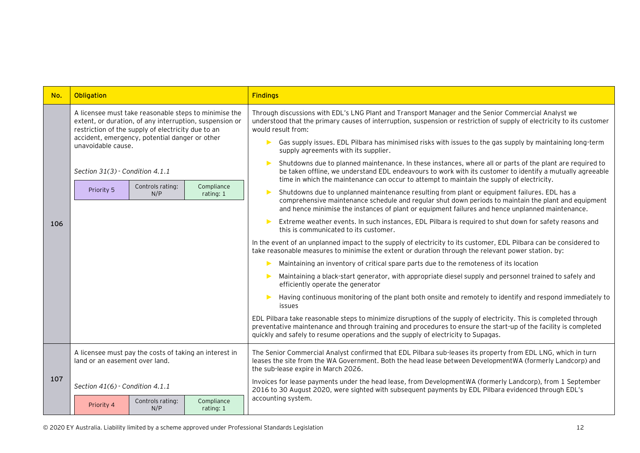| No. | Obligation                                                                                                                                                             | <b>Findings</b>                                                                                                                                                                                                                                                                                                            |  |  |  |  |  |
|-----|------------------------------------------------------------------------------------------------------------------------------------------------------------------------|----------------------------------------------------------------------------------------------------------------------------------------------------------------------------------------------------------------------------------------------------------------------------------------------------------------------------|--|--|--|--|--|
|     | A licensee must take reasonable steps to minimise the<br>extent, or duration, of any interruption, suspension or<br>restriction of the supply of electricity due to an | Through discussions with EDL's LNG Plant and Transport Manager and the Senior Commercial Analyst we<br>understood that the primary causes of interruption, suspension or restriction of supply of electricity to its customer<br>would result from:                                                                        |  |  |  |  |  |
|     | accident, emergency, potential danger or other<br>unavoidable cause.                                                                                                   | Gas supply issues. EDL Pilbara has minimised risks with issues to the gas supply by maintaining long-term<br>supply agreements with its supplier.                                                                                                                                                                          |  |  |  |  |  |
|     | Section 31(3) - Condition 4.1.1                                                                                                                                        | Shutdowns due to planned maintenance. In these instances, where all or parts of the plant are required to<br>be taken offline, we understand EDL endeavours to work with its customer to identify a mutually agreeable<br>time in which the maintenance can occur to attempt to maintain the supply of electricity.        |  |  |  |  |  |
| 106 | Compliance<br>Controls rating:<br>Priority 5<br>N/P<br>rating: 1                                                                                                       | Shutdowns due to unplanned maintenance resulting from plant or equipment failures. EDL has a<br>comprehensive maintenance schedule and regular shut down periods to maintain the plant and equipment<br>and hence minimise the instances of plant or equipment failures and hence unplanned maintenance.                   |  |  |  |  |  |
|     |                                                                                                                                                                        | Extreme weather events. In such instances, EDL Pilbara is required to shut down for safety reasons and<br>this is communicated to its customer.                                                                                                                                                                            |  |  |  |  |  |
|     |                                                                                                                                                                        | In the event of an unplanned impact to the supply of electricity to its customer, EDL Pilbara can be considered to<br>take reasonable measures to minimise the extent or duration through the relevant power station. by:                                                                                                  |  |  |  |  |  |
|     |                                                                                                                                                                        | Maintaining an inventory of critical spare parts due to the remoteness of its location                                                                                                                                                                                                                                     |  |  |  |  |  |
|     |                                                                                                                                                                        | Maintaining a black-start generator, with appropriate diesel supply and personnel trained to safely and<br>efficiently operate the generator                                                                                                                                                                               |  |  |  |  |  |
|     |                                                                                                                                                                        | Having continuous monitoring of the plant both onsite and remotely to identify and respond immediately to<br>issues                                                                                                                                                                                                        |  |  |  |  |  |
|     |                                                                                                                                                                        | EDL Pilbara take reasonable steps to minimize disruptions of the supply of electricity. This is completed through<br>preventative maintenance and through training and procedures to ensure the start-up of the facility is completed<br>quickly and safely to resume operations and the supply of electricity to Supagas. |  |  |  |  |  |
|     | A licensee must pay the costs of taking an interest in<br>land or an easement over land.                                                                               | The Senior Commercial Analyst confirmed that EDL Pilbara sub-leases its property from EDL LNG, which in turn<br>leases the site from the WA Government. Both the head lease between DevelopmentWA (formerly Landcorp) and<br>the sub-lease expire in March 2026.                                                           |  |  |  |  |  |
| 107 | Section 41(6) - Condition 4.1.1                                                                                                                                        | Invoices for lease payments under the head lease, from DevelopmentWA (formerly Landcorp), from 1 September<br>2016 to 30 August 2020, were sighted with subsequent payments by EDL Pilbara evidenced through EDL's                                                                                                         |  |  |  |  |  |
|     | Controls rating:<br>Compliance<br>Priority 4<br>N/P<br>rating: 1                                                                                                       | accounting system.                                                                                                                                                                                                                                                                                                         |  |  |  |  |  |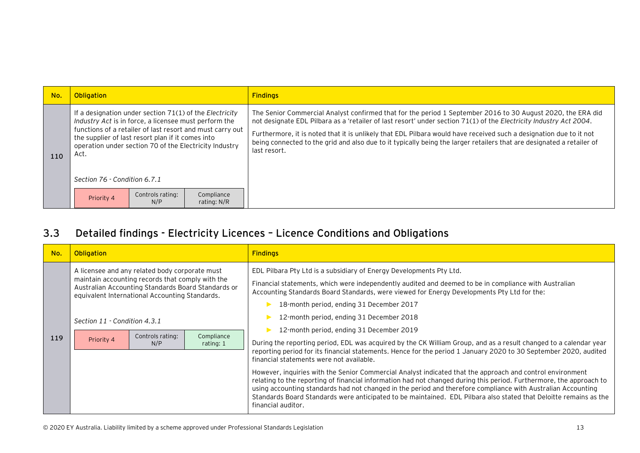| No. | Obligation                                                                                                                                                                                                                                                                                                                           |                           | <b>Findings</b>                                                                                                                                                                                                                                                                                                                                                                                                                                                                                  |
|-----|--------------------------------------------------------------------------------------------------------------------------------------------------------------------------------------------------------------------------------------------------------------------------------------------------------------------------------------|---------------------------|--------------------------------------------------------------------------------------------------------------------------------------------------------------------------------------------------------------------------------------------------------------------------------------------------------------------------------------------------------------------------------------------------------------------------------------------------------------------------------------------------|
| 110 | If a designation under section 71(1) of the Electricity<br>Industry Act is in force, a licensee must perform the<br>functions of a retailer of last resort and must carry out<br>the supplier of last resort plan if it comes into<br>operation under section 70 of the Electricity Industry<br>Act.<br>Section 76 - Condition 6.7.1 |                           | The Senior Commercial Analyst confirmed that for the period 1 September 2016 to 30 August 2020, the ERA did<br>not designate EDL Pilbara as a 'retailer of last resort' under section 71(1) of the Electricity Industry Act 2004.<br>Furthermore, it is noted that it is unlikely that EDL Pilbara would have received such a designation due to it not<br>being connected to the grid and also due to it typically being the larger retailers that are designated a retailer of<br>last resort. |
|     | Controls rating:<br>Priority 4<br>N/P                                                                                                                                                                                                                                                                                                | Compliance<br>rating: N/R |                                                                                                                                                                                                                                                                                                                                                                                                                                                                                                  |

## **3.3 Detailed findings - Electricity Licences – Licence Conditions and Obligations**

<span id="page-13-0"></span>

| No. | <b>Obligation</b>                          |                                                                                                                                                                                                                                       |                         | <b>Findings</b>                                                                                                                                                                                                                                                                                                                                                                                                                                                                                                                                                                                                                                                                                                                                                                                                                                                                                                                                                                                                                                                                                                                                                                                    |
|-----|--------------------------------------------|---------------------------------------------------------------------------------------------------------------------------------------------------------------------------------------------------------------------------------------|-------------------------|----------------------------------------------------------------------------------------------------------------------------------------------------------------------------------------------------------------------------------------------------------------------------------------------------------------------------------------------------------------------------------------------------------------------------------------------------------------------------------------------------------------------------------------------------------------------------------------------------------------------------------------------------------------------------------------------------------------------------------------------------------------------------------------------------------------------------------------------------------------------------------------------------------------------------------------------------------------------------------------------------------------------------------------------------------------------------------------------------------------------------------------------------------------------------------------------------|
| 119 | Section 11 - Condition 4.3.1<br>Priority 4 | A licensee and any related body corporate must<br>maintain accounting records that comply with the<br>Australian Accounting Standards Board Standards or<br>equivalent International Accounting Standards.<br>Controls rating:<br>N/P | Compliance<br>rating: 1 | EDL Pilbara Pty Ltd is a subsidiary of Energy Developments Pty Ltd.<br>Financial statements, which were independently audited and deemed to be in compliance with Australian<br>Accounting Standards Board Standards, were viewed for Energy Developments Pty Ltd for the:<br>18-month period, ending 31 December 2017<br>12-month period, ending 31 December 2018<br>12-month period, ending 31 December 2019<br>During the reporting period, EDL was acquired by the CK William Group, and as a result changed to a calendar year<br>reporting period for its financial statements. Hence for the period 1 January 2020 to 30 September 2020, audited<br>financial statements were not available.<br>However, inquiries with the Senior Commercial Analyst indicated that the approach and control environment<br>relating to the reporting of financial information had not changed during this period. Furthermore, the approach to<br>using accounting standards had not changed in the period and therefore compliance with Australian Accounting<br>Standards Board Standards were anticipated to be maintained. EDL Pilbara also stated that Deloitte remains as the<br>financial auditor. |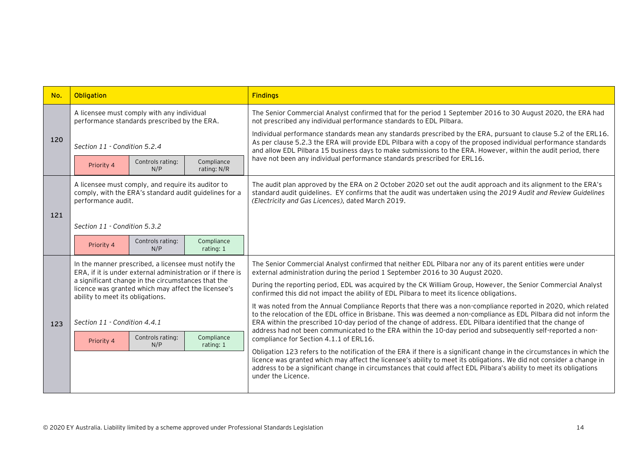| No. | Obligation                                                                                                                                    |                                                                                            |                           | <b>Findings</b>                                                                                                                                                                                                                                                                                                                                                                              |  |
|-----|-----------------------------------------------------------------------------------------------------------------------------------------------|--------------------------------------------------------------------------------------------|---------------------------|----------------------------------------------------------------------------------------------------------------------------------------------------------------------------------------------------------------------------------------------------------------------------------------------------------------------------------------------------------------------------------------------|--|
|     |                                                                                                                                               | A licensee must comply with any individual<br>performance standards prescribed by the ERA. |                           | The Senior Commercial Analyst confirmed that for the period 1 September 2016 to 30 August 2020, the ERA had<br>not prescribed any individual performance standards to EDL Pilbara.                                                                                                                                                                                                           |  |
| 120 | Section 11 - Condition 5.2.4                                                                                                                  |                                                                                            |                           | Individual performance standards mean any standards prescribed by the ERA, pursuant to clause 5.2 of the ERL16.<br>As per clause 5.2.3 the ERA will provide EDL Pilbara with a copy of the proposed individual performance standards<br>and allow EDL Pilbara 15 business days to make submissions to the ERA. However, within the audit period, there                                       |  |
|     | Priority 4                                                                                                                                    | Controls rating:<br>N/P                                                                    | Compliance<br>rating: N/R | have not been any individual performance standards prescribed for ERL16.                                                                                                                                                                                                                                                                                                                     |  |
|     | A licensee must comply, and require its auditor to<br>comply, with the ERA's standard audit guidelines for a<br>performance audit.            |                                                                                            |                           | The audit plan approved by the ERA on 2 October 2020 set out the audit approach and its alignment to the ERA's<br>standard audit guidelines. EY confirms that the audit was undertaken using the 2019 Audit and Review Guidelines<br>(Electricity and Gas Licences), dated March 2019.                                                                                                       |  |
| 121 | Section 11 - Condition 5.3.2                                                                                                                  |                                                                                            |                           |                                                                                                                                                                                                                                                                                                                                                                                              |  |
|     | Priority 4                                                                                                                                    | Controls rating:<br>N/P                                                                    | Compliance<br>rating: 1   |                                                                                                                                                                                                                                                                                                                                                                                              |  |
|     | In the manner prescribed, a licensee must notify the<br>ERA, if it is under external administration or if there is                            |                                                                                            |                           | The Senior Commercial Analyst confirmed that neither EDL Pilbara nor any of its parent entities were under<br>external administration during the period 1 September 2016 to 30 August 2020.                                                                                                                                                                                                  |  |
|     | a significant change in the circumstances that the<br>licence was granted which may affect the licensee's<br>ability to meet its obligations. |                                                                                            |                           | During the reporting period, EDL was acquired by the CK William Group, However, the Senior Commercial Analyst<br>confirmed this did not impact the ability of EDL Pilbara to meet its licence obligations.                                                                                                                                                                                   |  |
| 123 | Section 11 - Condition 4.4.1                                                                                                                  |                                                                                            |                           | It was noted from the Annual Compliance Reports that there was a non-compliance reported in 2020, which related<br>to the relocation of the EDL office in Brisbane. This was deemed a non-compliance as EDL Pilbara did not inform the<br>ERA within the prescribed 10-day period of the change of address. EDL Pilbara identified that the change of                                        |  |
|     | Priority 4                                                                                                                                    | Controls rating:<br>N/P                                                                    | Compliance<br>rating: 1   | address had not been communicated to the ERA within the 10-day period and subsequently self-reported a non-<br>compliance for Section 4.1.1 of ERL16.                                                                                                                                                                                                                                        |  |
|     |                                                                                                                                               |                                                                                            |                           | Obligation 123 refers to the notification of the ERA if there is a significant change in the circumstances in which the<br>licence was granted which may affect the licensee's ability to meet its obligations. We did not consider a change in<br>address to be a significant change in circumstances that could affect EDL Pilbara's ability to meet its obligations<br>under the Licence. |  |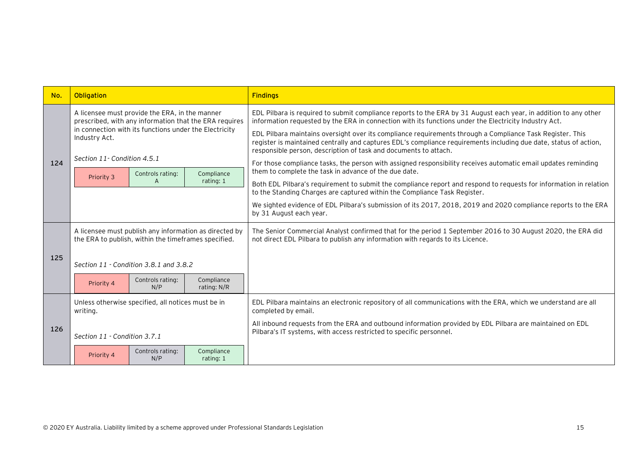| No. | Obligation                                                                                                                                                                          |                         |                           | <b>Findings</b>                                                                                                                                                                                                                                                                                    |
|-----|-------------------------------------------------------------------------------------------------------------------------------------------------------------------------------------|-------------------------|---------------------------|----------------------------------------------------------------------------------------------------------------------------------------------------------------------------------------------------------------------------------------------------------------------------------------------------|
|     | A licensee must provide the ERA, in the manner<br>prescribed, with any information that the ERA requires<br>in connection with its functions under the Electricity<br>Industry Act. |                         |                           | EDL Pilbara is required to submit compliance reports to the ERA by 31 August each year, in addition to any other<br>information requested by the ERA in connection with its functions under the Electricity Industry Act.                                                                          |
|     |                                                                                                                                                                                     |                         |                           | EDL Pilbara maintains oversight over its compliance requirements through a Compliance Task Register. This<br>register is maintained centrally and captures EDL's compliance requirements including due date, status of action,<br>responsible person, description of task and documents to attach. |
| 124 | Section 11 - Condition 4.5.1<br>Controls rating:                                                                                                                                    |                         | Compliance                | For those compliance tasks, the person with assigned responsibility receives automatic email updates reminding<br>them to complete the task in advance of the due date.                                                                                                                            |
|     | Priority 3                                                                                                                                                                          | A                       | rating: 1                 | Both EDL Pilbara's requirement to submit the compliance report and respond to requests for information in relation<br>to the Standing Charges are captured within the Compliance Task Register.                                                                                                    |
|     |                                                                                                                                                                                     |                         |                           | We sighted evidence of EDL Pilbara's submission of its 2017, 2018, 2019 and 2020 compliance reports to the ERA<br>by 31 August each year.                                                                                                                                                          |
|     | A licensee must publish any information as directed by<br>the ERA to publish, within the timeframes specified.                                                                      |                         |                           | The Senior Commercial Analyst confirmed that for the period 1 September 2016 to 30 August 2020, the ERA did<br>not direct EDL Pilbara to publish any information with regards to its Licence.                                                                                                      |
| 125 | Section 11 - Condition 3.8.1 and 3.8.2                                                                                                                                              |                         |                           |                                                                                                                                                                                                                                                                                                    |
|     | Priority 4                                                                                                                                                                          | Controls rating:<br>N/P | Compliance<br>rating: N/R |                                                                                                                                                                                                                                                                                                    |
|     | Unless otherwise specified, all notices must be in<br>writing.                                                                                                                      |                         |                           | EDL Pilbara maintains an electronic repository of all communications with the ERA, which we understand are all<br>completed by email.                                                                                                                                                              |
| 126 | Section 11 - Condition 3.7.1                                                                                                                                                        |                         |                           | All inbound requests from the ERA and outbound information provided by EDL Pilbara are maintained on EDL<br>Pilbara's IT systems, with access restricted to specific personnel.                                                                                                                    |
|     | Priority 4                                                                                                                                                                          | Controls rating:<br>N/P | Compliance<br>rating: 1   |                                                                                                                                                                                                                                                                                                    |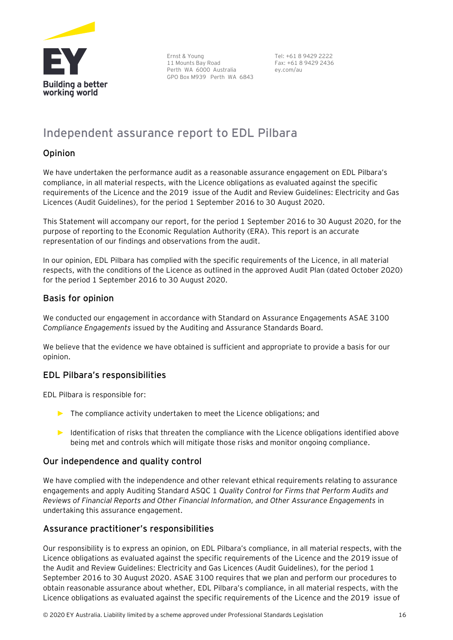

Ernst & Young 11 Mounts Bay Road Perth WA 6000 Australia GPO Box M939 Perth WA 6843

Tel: +61 8 9429 2222 Fax: +61 8 9429 2436 ey.com/au

## <span id="page-16-0"></span>**Independent assurance report to EDL Pilbara**

#### Opinion

We have undertaken the performance audit as a reasonable assurance engagement on EDL Pilbara's compliance, in all material respects, with the Licence obligations as evaluated against the specific requirements of the Licence and the 2019 issue of the Audit and Review Guidelines: Electricity and Gas Licences (Audit Guidelines), for the period 1 September 2016 to 30 August 2020.

This Statement will accompany our report, for the period 1 September 2016 to 30 August 2020, for the purpose of reporting to the Economic Regulation Authority (ERA). This report is an accurate representation of our findings and observations from the audit.

In our opinion, EDL Pilbara has complied with the specific requirements of the Licence, in all material respects, with the conditions of the Licence as outlined in the approved Audit Plan (dated October 2020) for the period 1 September 2016 to 30 August 2020.

#### Basis for opinion

We conducted our engagement in accordance with Standard on Assurance Engagements ASAE 3100 *Compliance Engagements* issued by the Auditing and Assurance Standards Board.

We believe that the evidence we have obtained is sufficient and appropriate to provide a basis for our opinion.

#### EDL Pilbara's responsibilities

EDL Pilbara is responsible for:

- ► The compliance activity undertaken to meet the Licence obligations; and
- ► Identification of risks that threaten the compliance with the Licence obligations identified above being met and controls which will mitigate those risks and monitor ongoing compliance.

#### Our independence and quality control

We have complied with the independence and other relevant ethical requirements relating to assurance engagements and apply Auditing Standard ASQC 1 *Quality Control for Firms that Perform Audits and Reviews of Financial Reports and Other Financial Information, and Other Assurance Engagements* in undertaking this assurance engagement.

#### Assurance practitioner's responsibilities

Our responsibility is to express an opinion, on EDL Pilbara's compliance, in all material respects, with the Licence obligations as evaluated against the specific requirements of the Licence and the 2019 issue of the Audit and Review Guidelines: Electricity and Gas Licences (Audit Guidelines), for the period 1 September 2016 to 30 August 2020. ASAE 3100 requires that we plan and perform our procedures to obtain reasonable assurance about whether, EDL Pilbara's compliance, in all material respects, with the Licence obligations as evaluated against the specific requirements of the Licence and the 2019 issue of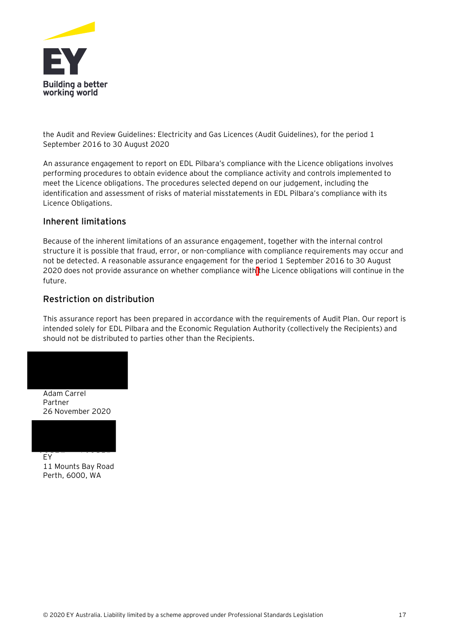

the Audit and Review Guidelines: Electricity and Gas Licences (Audit Guidelines), for the period 1 September 2016 to 30 August 2020

An assurance engagement to report on EDL Pilbara's compliance with the Licence obligations involves performing procedures to obtain evidence about the compliance activity and controls implemented to meet the Licence obligations. The procedures selected depend on our judgement, including the identification and assessment of risks of material misstatements in EDL Pilbara's compliance with its Licence Obligations.

#### Inherent limitations

Because of the inherent limitations of an assurance engagement, together with the internal control structure it is possible that fraud, error, or non-compliance with compliance requirements may occur and not be detected. A reasonable assurance engagement for the period 1 September 2016 to 30 August 2020 does not provide assurance on whether compliance with the Licence obligations will continue in the future.

#### Restriction on distribution

This assurance report has been prepared in accordance with the requirements of Audit Plan. Our report is intended solely for EDL Pilbara and the Economic Regulation Authority (collectively the Recipients) and should not be distributed to parties other than the Recipients.



Partner 26 November 2020



11 Mounts Bay Road Perth, 6000, WA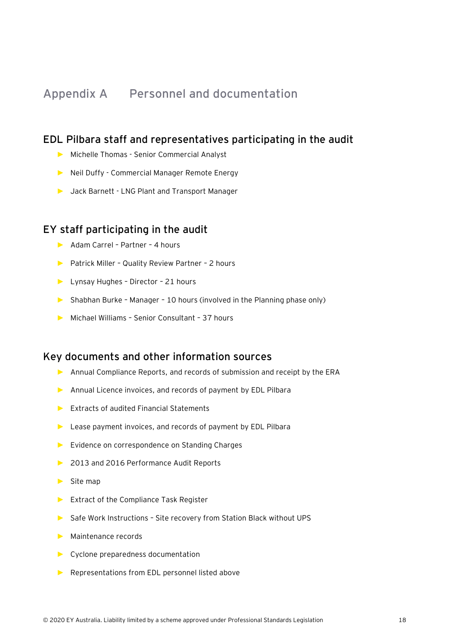## <span id="page-18-0"></span>**Appendix A Personnel and documentation**

#### **EDL Pilbara staff and representatives participating in the audit**

- ► Michelle Thomas Senior Commercial Analyst
- ► Neil Duffy Commercial Manager Remote Energy
- ► Jack Barnett LNG Plant and Transport Manager

#### **EY staff participating in the audit**

- ► Adam Carrel Partner 4 hours
- ► Patrick Miller Quality Review Partner 2 hours
- ► Lynsay Hughes Director 21 hours
- ► Shabhan Burke Manager 10 hours (involved in the Planning phase only)
- ► Michael Williams Senior Consultant 37 hours

#### **Key documents and other information sources**

- ► Annual Compliance Reports, and records of submission and receipt by the ERA
- ► Annual Licence invoices, and records of payment by EDL Pilbara
- ► Extracts of audited Financial Statements
- ► Lease payment invoices, and records of payment by EDL Pilbara
- ► Evidence on correspondence on Standing Charges
- ► 2013 and 2016 Performance Audit Reports
- ► Site map
- ► Extract of the Compliance Task Register
- ► Safe Work Instructions Site recovery from Station Black without UPS
- ► Maintenance records
- ► Cyclone preparedness documentation
- ► Representations from EDL personnel listed above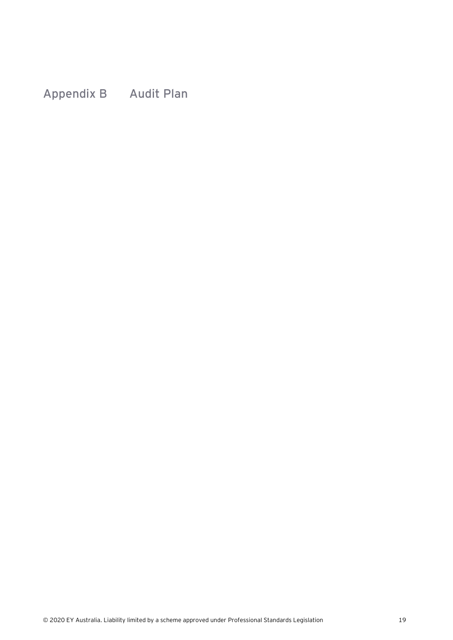<span id="page-19-0"></span>**Appendix B Audit Plan**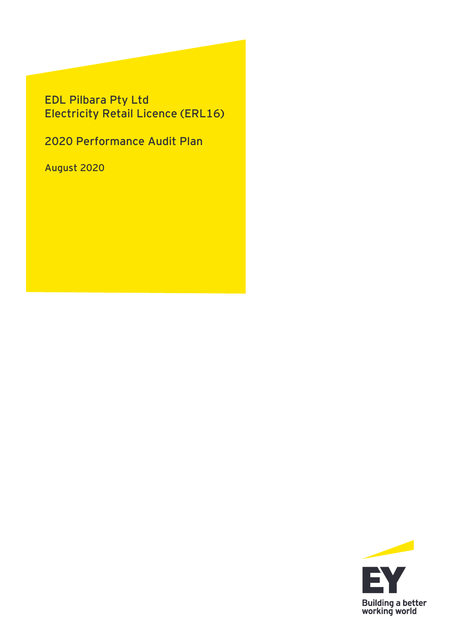## **EDL Pilbara Pty Ltd Electricity Retail Licence (ERL16)**

**2020 Performance Audit Plan**

**August 2020**

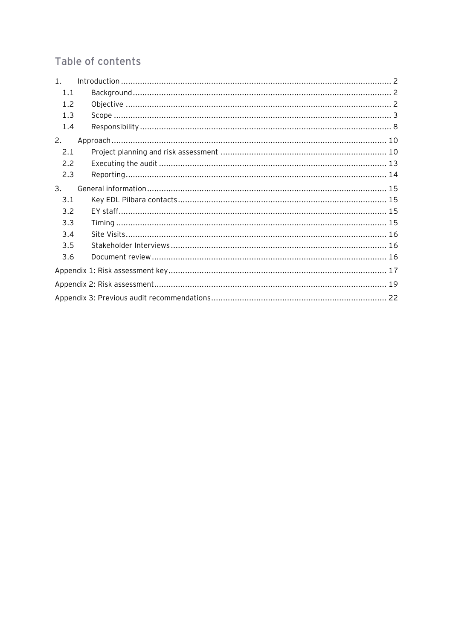## Table of contents

| 1 <sub>1</sub> |  |  |  |  |  |
|----------------|--|--|--|--|--|
| 1.1            |  |  |  |  |  |
| 1.2            |  |  |  |  |  |
| 1.3            |  |  |  |  |  |
| 1.4            |  |  |  |  |  |
| 2.             |  |  |  |  |  |
| 2.1            |  |  |  |  |  |
| 2.2            |  |  |  |  |  |
| 2.3            |  |  |  |  |  |
| 3.             |  |  |  |  |  |
| 3.1            |  |  |  |  |  |
| 3.2            |  |  |  |  |  |
| 3.3            |  |  |  |  |  |
| 3.4            |  |  |  |  |  |
| 3.5            |  |  |  |  |  |
| 3.6            |  |  |  |  |  |
|                |  |  |  |  |  |
|                |  |  |  |  |  |
|                |  |  |  |  |  |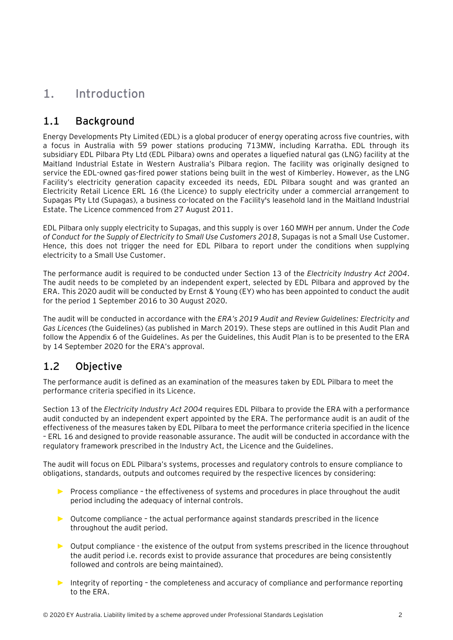## <span id="page-22-0"></span>**1. Introduction**

### <span id="page-22-1"></span>**1.1 Background**

Energy Developments Pty Limited (EDL) is a global producer of energy operating across five countries, with a focus in Australia with 59 power stations producing 713MW, including Karratha. EDL through its subsidiary EDL Pilbara Pty Ltd (EDL Pilbara) owns and operates a liquefied natural gas (LNG) facility at the Maitland Industrial Estate in Western Australia's Pilbara region. The facility was originally designed to service the EDL-owned gas-fired power stations being built in the west of Kimberley. However, as the LNG Facility's electricity generation capacity exceeded its needs, EDL Pilbara sought and was granted an Electricity Retail Licence ERL 16 (the Licence) to supply electricity under a commercial arrangement to Supagas Pty Ltd (Supagas), a business co-located on the Facility's leasehold land in the Maitland Industrial Estate. The Licence commenced from 27 August 2011.

EDL Pilbara only supply electricity to Supagas, and this supply is over 160 MWH per annum. Under the *Code of Conduct for the Supply of Electricity to Small Use Customers 2018*, Supagas is not a Small Use Customer. Hence, this does not trigger the need for EDL Pilbara to report under the conditions when supplying electricity to a Small Use Customer.

The performance audit is required to be conducted under Section 13 of the *Electricity Industry Act 2004*. The audit needs to be completed by an independent expert, selected by EDL Pilbara and approved by the ERA. This 2020 audit will be conducted by Ernst & Young (EY) who has been appointed to conduct the audit for the period 1 September 2016 to 30 August 2020.

The audit will be conducted in accordance with the *ERA's 2019 Audit and Review Guidelines: Electricity and Gas Licences (*the Guidelines) (as published in March 2019). These steps are outlined in this Audit Plan and follow the Appendix 6 of the Guidelines. As per the Guidelines, this Audit Plan is to be presented to the ERA by 14 September 2020 for the ERA's approval.

## <span id="page-22-2"></span>**1.2 Objective**

The performance audit is defined as an examination of the measures taken by EDL Pilbara to meet the performance criteria specified in its Licence.

Section 13 of the *Electricity Industry Act 2004* requires EDL Pilbara to provide the ERA with a performance audit conducted by an independent expert appointed by the ERA. The performance audit is an audit of the effectiveness of the measures taken by EDL Pilbara to meet the performance criteria specified in the licence – ERL 16 and designed to provide reasonable assurance. The audit will be conducted in accordance with the regulatory framework prescribed in the Industry Act, the Licence and the Guidelines.

The audit will focus on EDL Pilbara's systems, processes and regulatory controls to ensure compliance to obligations, standards, outputs and outcomes required by the respective licences by considering:

- ► Process compliance the effectiveness of systems and procedures in place throughout the audit period including the adequacy of internal controls.
- ► Outcome compliance the actual performance against standards prescribed in the licence throughout the audit period.
- ► Output compliance the existence of the output from systems prescribed in the licence throughout the audit period i.e. records exist to provide assurance that procedures are being consistently followed and controls are being maintained).
- ► Integrity of reporting the completeness and accuracy of compliance and performance reporting to the ERA.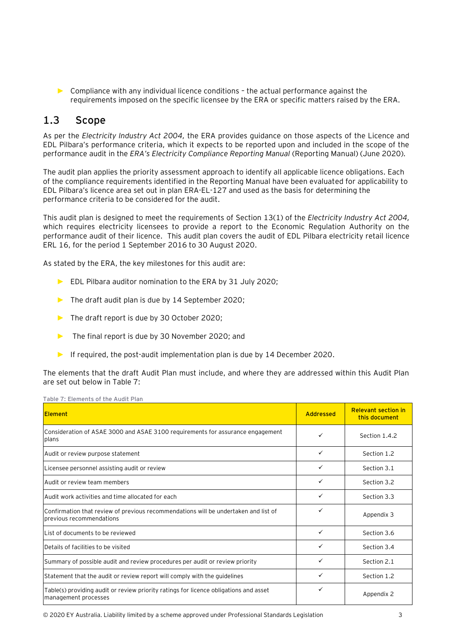► Compliance with any individual licence conditions – the actual performance against the requirements imposed on the specific licensee by the ERA or specific matters raised by the ERA.

### <span id="page-23-0"></span>**1.3 Scope**

As per the *Electricity Industry Act 2004,* the ERA provides guidance on those aspects of the Licence and EDL Pilbara's performance criteria, which it expects to be reported upon and included in the scope of the performance audit in the *ERA's Electricity Compliance Reporting Manual* (Reporting Manual) (June 2020)*.*

The audit plan applies the priority assessment approach to identify all applicable licence obligations. Each of the compliance requirements identified in the Reporting Manual have been evaluated for applicability to EDL Pilbara's licence area set out in plan ERA-EL-127 and used as the basis for determining the performance criteria to be considered for the audit.

This audit plan is designed to meet the requirements of Section 13(1) of the *Electricity Industry Act 2004,*  which requires electricity licensees to provide a report to the Economic Regulation Authority on the performance audit of their licence. This audit plan covers the audit of EDL Pilbara electricity retail licence ERL 16, for the period 1 September 2016 to 30 August 2020.

As stated by the ERA, the key milestones for this audit are:

- ► EDL Pilbara auditor nomination to the ERA by 31 July 2020;
- ► The draft audit plan is due by 14 September 2020;
- ► The draft report is due by 30 October 2020;
- ► The final report is due by 30 November 2020; and
- ► If required, the post-audit implementation plan is due by 14 December 2020.

The elements that the draft Audit Plan must include, and where they are addressed within this Audit Plan are set out below in [Table 7:](#page-23-1)

<span id="page-23-1"></span>

| Table 7: Elements of the Audit Plan                                                                             |              |                                             |  |
|-----------------------------------------------------------------------------------------------------------------|--------------|---------------------------------------------|--|
| <b>Element</b>                                                                                                  | Addressed    | <b>Relevant section in</b><br>this document |  |
| Consideration of ASAE 3000 and ASAE 3100 requirements for assurance engagement<br>plans                         | ✓            | Section 1.4.2                               |  |
| Audit or review purpose statement                                                                               | $\checkmark$ | Section 1.2                                 |  |
| Licensee personnel assisting audit or review                                                                    | $\checkmark$ | Section 3.1                                 |  |
| Audit or review team members                                                                                    | ✓            | Section 3.2                                 |  |
| Audit work activities and time allocated for each                                                               | $\checkmark$ | Section 3.3                                 |  |
| Confirmation that review of previous recommendations will be undertaken and list of<br>previous recommendations | ✓            | Appendix 3                                  |  |
| List of documents to be reviewed                                                                                | ✓            | Section 3.6                                 |  |
| Details of facilities to be visited                                                                             | ✓            | Section 3.4                                 |  |
| Summary of possible audit and review procedures per audit or review priority                                    | ✓            | Section 2.1                                 |  |
| Statement that the audit or review report will comply with the quidelines                                       | $\checkmark$ | Section 1.2                                 |  |
| Table(s) providing audit or review priority ratings for licence obligations and asset<br>management processes   | ✓            | Appendix 2                                  |  |

© 2020 EY Australia. Liability limited by a scheme approved under Professional Standards Legislation 3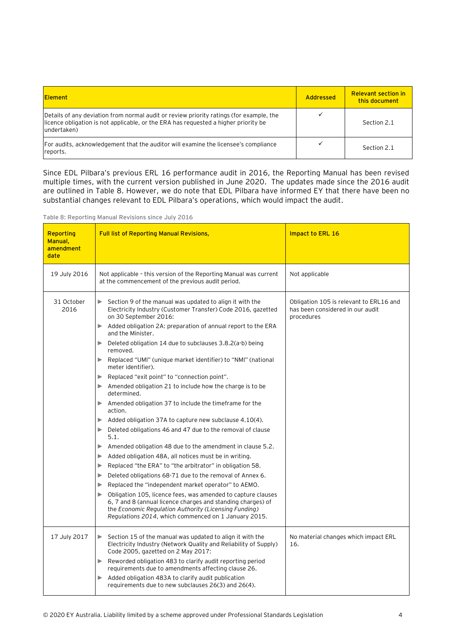| <b>Element</b>                                                                                                                                                                                 | Addressed | <b>Relevant section in</b><br>this document |
|------------------------------------------------------------------------------------------------------------------------------------------------------------------------------------------------|-----------|---------------------------------------------|
| Details of any deviation from normal audit or review priority ratings (for example, the<br>licence obligation is not applicable, or the ERA has requested a higher priority be<br>lundertaken) |           | Section 2.1                                 |
| For audits, acknowledgement that the auditor will examine the licensee's compliance<br>reports.                                                                                                |           | Section 2.1                                 |

Since EDL Pilbara's previous ERL 16 performance audit in 2016, the Reporting Manual has been revised multiple times, with the current version published in June 2020. The updates made since the 2016 audit are outlined in [Table 8.](#page-24-0) However, we do note that EDL Pilbara have informed EY that there have been no substantial changes relevant to EDL Pilbara's operations, which would impact the audit.

<span id="page-24-0"></span>**Table 8: Reporting Manual Revisions since July 2016**

| Reporting<br>Manual,<br>amendment<br>date | <b>Full list of Reporting Manual Revisions,</b>                                                                                                                                                                                                                                                                                                                                                                                                                                                                                                                                                                                                                                                                                                                                                                                                                                                                                                                                                                                                                                                                                                                                                                                                                                                                                                       | Impact to ERL 16                                                                          |
|-------------------------------------------|-------------------------------------------------------------------------------------------------------------------------------------------------------------------------------------------------------------------------------------------------------------------------------------------------------------------------------------------------------------------------------------------------------------------------------------------------------------------------------------------------------------------------------------------------------------------------------------------------------------------------------------------------------------------------------------------------------------------------------------------------------------------------------------------------------------------------------------------------------------------------------------------------------------------------------------------------------------------------------------------------------------------------------------------------------------------------------------------------------------------------------------------------------------------------------------------------------------------------------------------------------------------------------------------------------------------------------------------------------|-------------------------------------------------------------------------------------------|
| 19 July 2016                              | Not applicable - this version of the Reporting Manual was current<br>at the commencement of the previous audit period.                                                                                                                                                                                                                                                                                                                                                                                                                                                                                                                                                                                                                                                                                                                                                                                                                                                                                                                                                                                                                                                                                                                                                                                                                                | Not applicable                                                                            |
| 31 October<br>2016                        | Section 9 of the manual was updated to align it with the<br>Electricity Industry (Customer Transfer) Code 2016, gazetted<br>on 30 September 2016:<br>Added obligation 2A: preparation of annual report to the ERA<br>and the Minister.<br>Deleted obligation 14 due to subclauses 3.8.2(a-b) being<br>▶<br>removed.<br>Replaced "UMI" (unique market identifier) to "NMI" (national<br>▶<br>meter identifier).<br>Replaced "exit point" to "connection point".<br>▶<br>Amended obligation 21 to include how the charge is to be<br>determined.<br>Amended obligation 37 to include the timeframe for the<br>▶<br>action.<br>Added obligation 37A to capture new subclause 4.10(4).<br>▶<br>Deleted obligations 46 and 47 due to the removal of clause<br>▶<br>5.1.<br>Amended obligation 48 due to the amendment in clause 5.2.<br>▶<br>Added obligation 48A, all notices must be in writing.<br>▶<br>Replaced "the ERA" to "the arbitrator" in obligation 58.<br>▶<br>Deleted obligations 68-71 due to the removal of Annex 6.<br>▶<br>Replaced the "independent market operator" to AEMO.<br>▶<br>Obligation 105, licence fees, was amended to capture clauses<br>▶<br>6, 7 and 8 (annual licence charges and standing charges) of<br>the Economic Regulation Authority (Licensing Funding)<br>Regulations 2014, which commenced on 1 January 2015. | Obligation 105 is relevant to ERL16 and<br>has been considered in our audit<br>procedures |
| 17 July 2017                              | $\triangleright$ Section 15 of the manual was updated to align it with the<br>Electricity Industry (Network Quality and Reliability of Supply)<br>Code 2005, gazetted on 2 May 2017:<br>Reworded obligation 483 to clarify audit reporting period<br>requirements due to amendments affecting clause 26.<br>Added obligation 483A to clarify audit publication<br>requirements due to new subclauses 26(3) and 26(4).                                                                                                                                                                                                                                                                                                                                                                                                                                                                                                                                                                                                                                                                                                                                                                                                                                                                                                                                 | No material changes which impact ERL<br>16.                                               |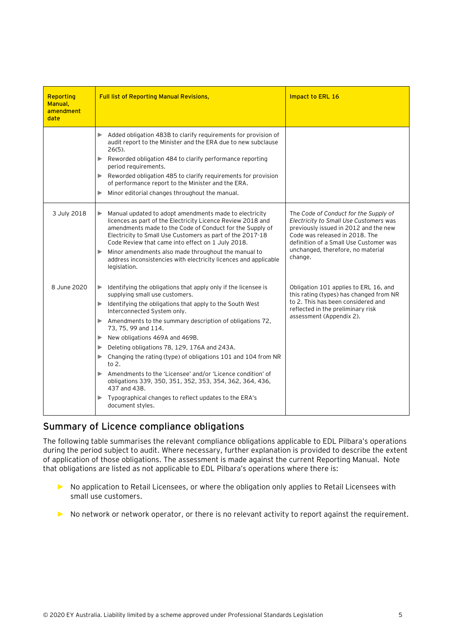| <b>Reporting</b><br>Manual,<br>amendment<br>date | <b>Full list of Reporting Manual Revisions,</b>                                                                                                                                                                                                                                                                                                                                                                                                                                                                                                                                                                                                                                                                                     | Impact to ERL 16                                                                                                                                                                                                                                     |
|--------------------------------------------------|-------------------------------------------------------------------------------------------------------------------------------------------------------------------------------------------------------------------------------------------------------------------------------------------------------------------------------------------------------------------------------------------------------------------------------------------------------------------------------------------------------------------------------------------------------------------------------------------------------------------------------------------------------------------------------------------------------------------------------------|------------------------------------------------------------------------------------------------------------------------------------------------------------------------------------------------------------------------------------------------------|
|                                                  | Added obligation 483B to clarify requirements for provision of<br>▶<br>audit report to the Minister and the ERA due to new subclause<br>$26(5)$ .<br>Reworded obligation 484 to clarify performance reporting<br>▶<br>period requirements.<br>Reworded obligation 485 to clarify requirements for provision<br>of performance report to the Minister and the ERA.<br>Minor editorial changes throughout the manual.<br>▶                                                                                                                                                                                                                                                                                                            |                                                                                                                                                                                                                                                      |
| 3 July 2018                                      | Manual updated to adopt amendments made to electricity<br>licences as part of the Electricity Licence Review 2018 and<br>amendments made to the Code of Conduct for the Supply of<br>Electricity to Small Use Customers as part of the 2017-18<br>Code Review that came into effect on 1 July 2018.<br>Minor amendments also made throughout the manual to<br>▶<br>address inconsistencies with electricity licences and applicable<br>legislation.                                                                                                                                                                                                                                                                                 | The Code of Conduct for the Supply of<br>Electricity to Small Use Customers was<br>previously issued in 2012 and the new<br>Code was released in 2018. The<br>definition of a Small Use Customer was<br>unchanged, therefore, no material<br>change. |
| 8 June 2020                                      | Identifying the obligations that apply only if the licensee is<br>▶<br>supplying small use customers.<br>$\blacktriangleright$ Identifying the obligations that apply to the South West<br>Interconnected System only.<br>$\blacktriangleright$ Amendments to the summary description of obligations 72,<br>73, 75, 99 and 114.<br>New obligations 469A and 469B.<br>▶<br>Deleting obligations 78, 129, 176A and 243A.<br>▶<br>Changing the rating (type) of obligations 101 and 104 from NR<br>▶<br>to $2.$<br>Amendments to the 'Licensee' and/or 'Licence condition' of<br>obligations 339, 350, 351, 352, 353, 354, 362, 364, 436,<br>437 and 438.<br>Typographical changes to reflect updates to the ERA's<br>document styles. | Obligation 101 applies to ERL 16, and<br>this rating (types) has changed from NR<br>to 2. This has been considered and<br>reflected in the preliminary risk<br>assessment (Appendix 2).                                                              |

#### **Summary of Licence compliance obligations**

The following table summarises the relevant compliance obligations applicable to EDL Pilbara's operations during the period subject to audit. Where necessary, further explanation is provided to describe the extent of application of those obligations. The assessment is made against the current Reporting Manual. Note that obligations are listed as not applicable to EDL Pilbara's operations where there is:

- ► No application to Retail Licensees, or where the obligation only applies to Retail Licensees with small use customers.
- ► No network or network operator, or there is no relevant activity to report against the requirement.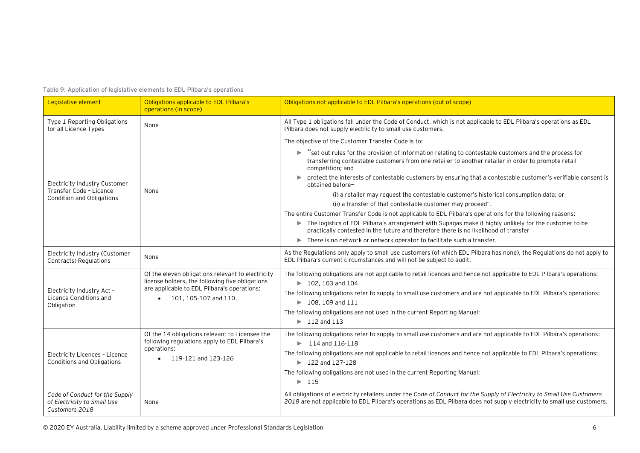**Table 9: Application of legislative elements to EDL Pilbara's operations**

| Legislative element                                                             | Obligations applicable to EDL Pilbara's<br>operations (in scope)                                     | Obligations not applicable to EDL Pilbara's operations (out of scope)                                                                                                                                                                             |
|---------------------------------------------------------------------------------|------------------------------------------------------------------------------------------------------|---------------------------------------------------------------------------------------------------------------------------------------------------------------------------------------------------------------------------------------------------|
| Type 1 Reporting Obligations<br>for all Licence Types                           | None                                                                                                 | All Type 1 obligations fall under the Code of Conduct, which is not applicable to EDL Pilbara's operations as EDL<br>Pilbara does not supply electricity to small use customers.                                                                  |
|                                                                                 |                                                                                                      | The objective of the Customer Transfer Code is to:                                                                                                                                                                                                |
|                                                                                 |                                                                                                      | "set out rules for the provision of information relating to contestable customers and the process for<br>Þ.<br>transferring contestable customers from one retailer to another retailer in order to promote retail<br>competition; and            |
| Electricity Industry Customer                                                   |                                                                                                      | protect the interests of contestable customers by ensuring that a contestable customer's verifiable consent is<br>obtained before-                                                                                                                |
| Transfer Code - Licence<br>Condition and Obligations                            | None                                                                                                 | (i) a retailer may request the contestable customer's historical consumption data; or                                                                                                                                                             |
|                                                                                 |                                                                                                      | (ii) a transfer of that contestable customer may proceed".                                                                                                                                                                                        |
|                                                                                 |                                                                                                      | The entire Customer Transfer Code is not applicable to EDL Pilbara's operations for the following reasons:                                                                                                                                        |
|                                                                                 |                                                                                                      | The logistics of EDL Pilbara's arrangement with Supagas make it highly unlikely for the customer to be<br>practically contested in the future and therefore there is no likelihood of transfer                                                    |
|                                                                                 |                                                                                                      | There is no network or network operator to facilitate such a transfer.                                                                                                                                                                            |
| Electricity Industry (Customer<br>Contracts) Regulations                        | None                                                                                                 | As the Regulations only apply to small use customers (of which EDL Pilbara has none), the Regulations do not apply to<br>EDL Pilbara's current circumstances and will not be subject to audit.                                                    |
|                                                                                 | Of the eleven obligations relevant to electricity<br>license holders, the following five obligations | The following obligations are not applicable to retail licences and hence not applicable to EDL Pilbara's operations:<br>$\blacktriangleright$ 102, 103 and 104                                                                                   |
| Electricity Industry Act -                                                      | are applicable to EDL Pilbara's operations:<br>101, 105-107 and 110.                                 | The following obligations refer to supply to small use customers and are not applicable to EDL Pilbara's operations:                                                                                                                              |
| Licence Conditions and<br>Obligation                                            |                                                                                                      | $\blacktriangleright$ 108.109 and 111                                                                                                                                                                                                             |
|                                                                                 |                                                                                                      | The following obligations are not used in the current Reporting Manual:                                                                                                                                                                           |
|                                                                                 |                                                                                                      | $\blacktriangleright$ 112 and 113                                                                                                                                                                                                                 |
|                                                                                 | Of the 14 obligations relevant to Licensee the                                                       | The following obligations refer to supply to small use customers and are not applicable to EDL Pilbara's operations:                                                                                                                              |
|                                                                                 | following regulations apply to EDL Pilbara's                                                         | $\triangleright$ 114 and 116-118                                                                                                                                                                                                                  |
| Electricity Licences - Licence                                                  | operations:<br>119-121 and 123-126                                                                   | The following obligations are not applicable to retail licences and hence not applicable to EDL Pilbara's operations:                                                                                                                             |
| Conditions and Obligations                                                      |                                                                                                      | $\blacktriangleright$ 122 and 127-128                                                                                                                                                                                                             |
|                                                                                 |                                                                                                      | The following obligations are not used in the current Reporting Manual:                                                                                                                                                                           |
|                                                                                 |                                                                                                      | $\blacktriangleright$ 115                                                                                                                                                                                                                         |
| Code of Conduct for the Supply<br>of Electricity to Small Use<br>Customers 2018 | None                                                                                                 | All obligations of electricity retailers under the Code of Conduct for the Supply of Electricity to Small Use Customers<br>2018 are not applicable to EDL Pilbara's operations as EDL Pilbara does not supply electricity to small use customers. |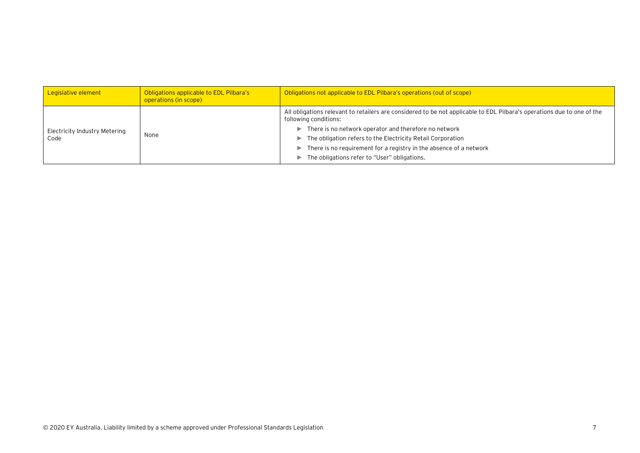| Legislative element           | Obligations applicable to EDL Pilbara's<br>operations (in scope) | Obligations not applicable to EDL Pilbara's operations (out of scope)                                                                            |
|-------------------------------|------------------------------------------------------------------|--------------------------------------------------------------------------------------------------------------------------------------------------|
|                               | None                                                             | All obligations relevant to retailers are considered to be not applicable to EDL Pilbara's operations due to one of the<br>following conditions: |
| Electricity Industry Metering |                                                                  | There is no network operator and therefore no network<br>$\blacktriangleright$                                                                   |
| Code                          |                                                                  | The obligation refers to the Electricity Retail Corporation<br>▶.                                                                                |
|                               |                                                                  | There is no requirement for a registry in the absence of a network<br>$\blacktriangleright$                                                      |
|                               |                                                                  | The obligations refer to "User" obligations.<br>►                                                                                                |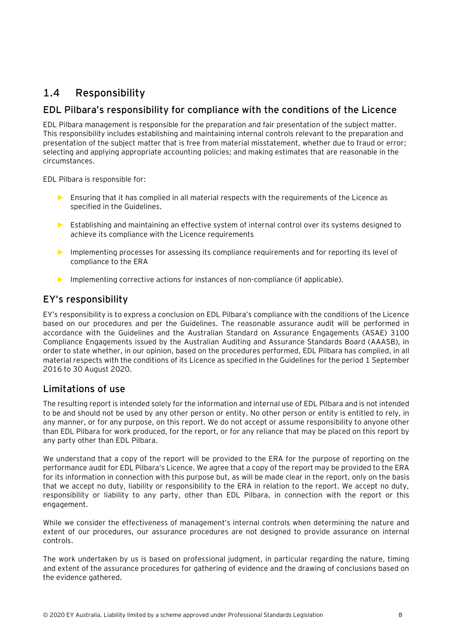## <span id="page-28-0"></span>**1.4 Responsibility**

#### **EDL Pilbara's responsibility for compliance with the conditions of the Licence**

EDL Pilbara management is responsible for the preparation and fair presentation of the subject matter. This responsibility includes establishing and maintaining internal controls relevant to the preparation and presentation of the subject matter that is free from material misstatement, whether due to fraud or error; selecting and applying appropriate accounting policies; and making estimates that are reasonable in the circumstances.

EDL Pilbara is responsible for:

- ► Ensuring that it has complied in all material respects with the requirements of the Licence as specified in the Guidelines.
- ► Establishing and maintaining an effective system of internal control over its systems designed to achieve its compliance with the Licence requirements
- ► Implementing processes for assessing its compliance requirements and for reporting its level of compliance to the ERA
- ► Implementing corrective actions for instances of non-compliance (if applicable).

#### **EY's responsibility**

EY's responsibility is to express a conclusion on EDL Pilbara's compliance with the conditions of the Licence based on our procedures and per the Guidelines. The reasonable assurance audit will be performed in accordance with the Guidelines and the Australian Standard on Assurance Engagements (ASAE) 3100 Compliance Engagements issued by the Australian Auditing and Assurance Standards Board (AAASB), in order to state whether, in our opinion, based on the procedures performed, EDL Pilbara has complied, in all material respects with the conditions of its Licence as specified in the Guidelines for the period 1 September 2016 to 30 August 2020.

#### **Limitations of use**

The resulting report is intended solely for the information and internal use of EDL Pilbara and is not intended to be and should not be used by any other person or entity. No other person or entity is entitled to rely, in any manner, or for any purpose, on this report. We do not accept or assume responsibility to anyone other than EDL Pilbara for work produced, for the report, or for any reliance that may be placed on this report by any party other than EDL Pilbara.

We understand that a copy of the report will be provided to the ERA for the purpose of reporting on the performance audit for EDL Pilbara's Licence. We agree that a copy of the report may be provided to the ERA for its information in connection with this purpose but, as will be made clear in the report, only on the basis that we accept no duty, liability or responsibility to the ERA in relation to the report. We accept no duty, responsibility or liability to any party, other than EDL Pilbara, in connection with the report or this engagement.

While we consider the effectiveness of management's internal controls when determining the nature and extent of our procedures, our assurance procedures are not designed to provide assurance on internal controls.

The work undertaken by us is based on professional judgment, in particular regarding the nature, timing and extent of the assurance procedures for gathering of evidence and the drawing of conclusions based on the evidence gathered.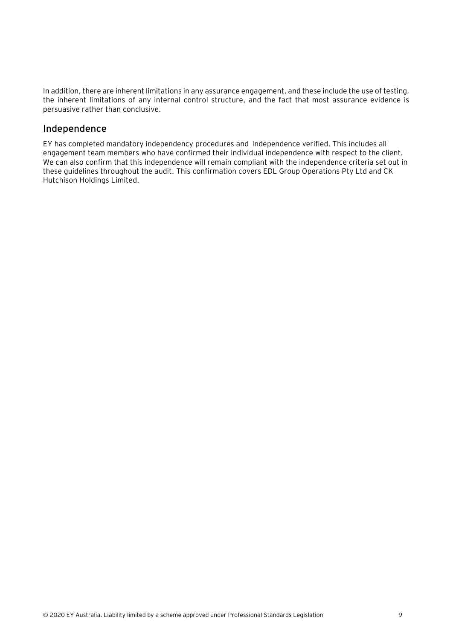In addition, there are inherent limitations in any assurance engagement, and these include the use of testing, the inherent limitations of any internal control structure, and the fact that most assurance evidence is persuasive rather than conclusive.

#### **Independence**

EY has completed mandatory independency procedures and Independence verified. This includes all engagement team members who have confirmed their individual independence with respect to the client. We can also confirm that this independence will remain compliant with the independence criteria set out in these guidelines throughout the audit. This confirmation covers EDL Group Operations Pty Ltd and CK Hutchison Holdings Limited.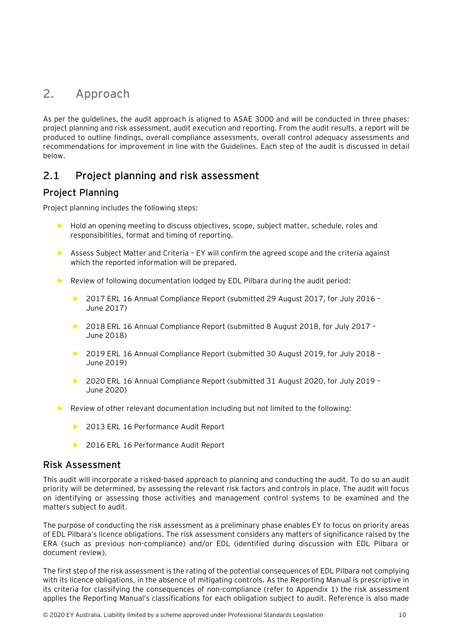## <span id="page-30-0"></span>**2. Approach**

As per the guidelines, the audit approach is aligned to ASAE 3000 and will be conducted in three phases: project planning and risk assessment, audit execution and reporting. From the audit results, a report will be produced to outline findings, overall compliance assessments, overall control adequacy assessments and recommendations for improvement in line with the Guidelines. Each step of the audit is discussed in detail below.

### <span id="page-30-1"></span>**2.1 Project planning and risk assessment**

### **Project Planning**

Project planning includes the following steps:

- ► Hold an opening meeting to discuss objectives, scope, subject matter, schedule, roles and responsibilities, format and timing of reporting.
- ► Assess Subject Matter and Criteria EY will confirm the agreed scope and the criteria against which the reported information will be prepared.
- ► Review of following documentation lodged by EDL Pilbara during the audit period:
	- ► 2017 ERL 16 Annual Compliance Report (submitted 29 August 2017, for July 2016 June 2017)
	- ► 2018 ERL 16 Annual Compliance Report (submitted 8 August 2018, for July 2017 June 2018)
	- ► 2019 ERL 16 Annual Compliance Report (submitted 30 August 2019, for July 2018 June 2019)
	- ► 2020 ERL 16 Annual Compliance Report (submitted 31 August 2020, for July 2019 June 2020)
- ► Review of other relevant documentation including but not limited to the following:
	- ► 2013 ERL 16 Performance Audit Report
	- ► 2016 ERL 16 Performance Audit Report

#### **Risk Assessment**

This audit will incorporate a risked-based approach to planning and conducting the audit. To do so an audit priority will be determined, by assessing the relevant risk factors and controls in place. The audit will focus on identifying or assessing those activities and management control systems to be examined and the matters subject to audit.

The purpose of conducting the risk assessment as a preliminary phase enables EY to focus on priority areas of EDL Pilbara's licence obligations. The risk assessment considers any matters of significance raised by the ERA (such as previous non-compliance) and/or EDL (identified during discussion with EDL Pilbara or document review).

The first step of the risk assessment is the rating of the potential consequences of EDL Pilbara not complying with its licence obligations, in the absence of mitigating controls. As the Reporting Manual is prescriptive in its criteria for classifying the consequences of non-compliance (refer to Appendix 1) the risk assessment applies the Reporting Manual's classifications for each obligation subject to audit. Reference is also made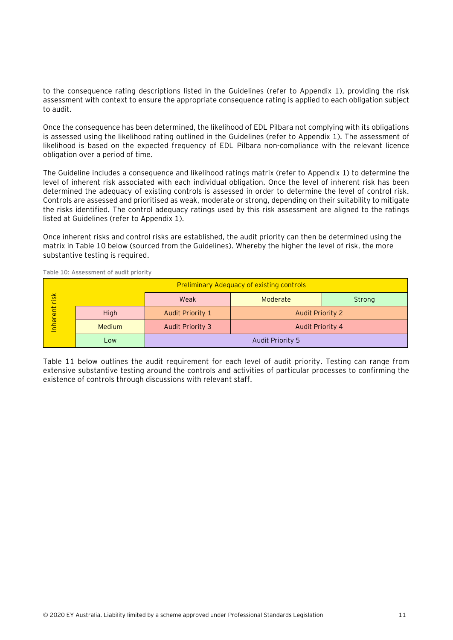to the consequence rating descriptions listed in the Guidelines (refer to Appendix 1), providing the risk assessment with context to ensure the appropriate consequence rating is applied to each obligation subject to audit.

Once the consequence has been determined, the likelihood of EDL Pilbara not complying with its obligations is assessed using the likelihood rating outlined in the Guidelines (refer to Appendix 1). The assessment of likelihood is based on the expected frequency of EDL Pilbara non-compliance with the relevant licence obligation over a period of time.

The Guideline includes a consequence and likelihood ratings matrix (refer to Appendix 1) to determine the level of inherent risk associated with each individual obligation. Once the level of inherent risk has been determined the adequacy of existing controls is assessed in order to determine the level of control risk. Controls are assessed and prioritised as weak, moderate or strong, depending on their suitability to mitigate the risks identified. The control adequacy ratings used by this risk assessment are aligned to the ratings listed at Guidelines (refer to Appendix 1).

Once inherent risks and control risks are established, the audit priority can then be determined using the matrix in [Table 10](#page-31-0) below (sourced from the Guidelines). Whereby the higher the level of risk, the more substantive testing is required.

|          |               |                                      | <b>Preliminary Adequacy of existing controls</b> |        |
|----------|---------------|--------------------------------------|--------------------------------------------------|--------|
| risk     |               | Weak                                 | Moderate                                         | Strong |
| Inherent | High          | Audit Priority 1                     | Audit Priority 2                                 |        |
|          | <b>Medium</b> | Audit Priority 3<br>Audit Priority 4 |                                                  |        |
|          | Low           | Audit Priority 5                     |                                                  |        |

<span id="page-31-0"></span>**Table 10: Assessment of audit priority**

[Table 11](#page-32-0) below outlines the audit requirement for each level of audit priority. Testing can range from extensive substantive testing around the controls and activities of particular processes to confirming the existence of controls through discussions with relevant staff.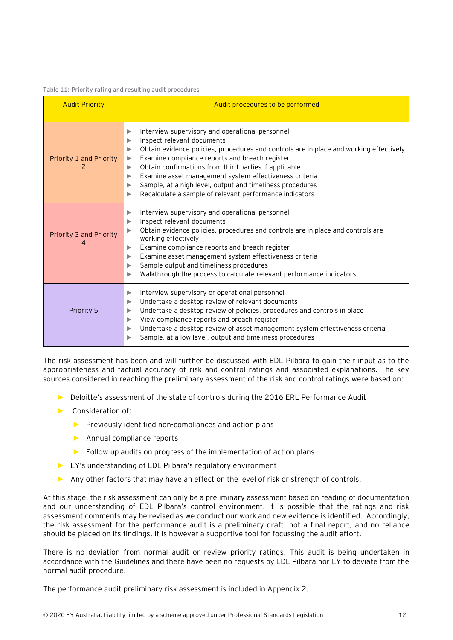#### <span id="page-32-0"></span>**Table 11: Priority rating and resulting audit procedures**

| <b>Audit Priority</b>        | Audit procedures to be performed                                                                                                                                                                                                                                                                                                                                                                                                                                                                             |
|------------------------------|--------------------------------------------------------------------------------------------------------------------------------------------------------------------------------------------------------------------------------------------------------------------------------------------------------------------------------------------------------------------------------------------------------------------------------------------------------------------------------------------------------------|
| Priority 1 and Priority<br>2 | Interview supervisory and operational personnel<br>▶<br>Inspect relevant documents<br>▶<br>Obtain evidence policies, procedures and controls are in place and working effectively<br>▶<br>Examine compliance reports and breach register<br>▶<br>Obtain confirmations from third parties if applicable<br>▶<br>Examine asset management system effectiveness criteria<br>▶<br>Sample, at a high level, output and timeliness procedures<br>▶<br>Recalculate a sample of relevant performance indicators<br>▶ |
| Priority 3 and Priority<br>4 | Interview supervisory and operational personnel<br>▶<br>Inspect relevant documents<br>▶<br>Obtain evidence policies, procedures and controls are in place and controls are<br>▶<br>working effectively<br>Examine compliance reports and breach register<br>▶<br>Examine asset management system effectiveness criteria<br>▶<br>Sample output and timeliness procedures<br>▶<br>Walkthrough the process to calculate relevant performance indicators<br>▶                                                    |
| Priority 5                   | Interview supervisory or operational personnel<br>▶<br>Undertake a desktop review of relevant documents<br>▶<br>Undertake a desktop review of policies, procedures and controls in place<br>▶<br>View compliance reports and breach register<br>▶<br>Undertake a desktop review of asset management system effectiveness criteria<br>▶<br>Sample, at a low level, output and timeliness procedures                                                                                                           |

The risk assessment has been and will further be discussed with EDL Pilbara to gain their input as to the appropriateness and factual accuracy of risk and control ratings and associated explanations. The key sources considered in reaching the preliminary assessment of the risk and control ratings were based on:

- ► Deloitte's assessment of the state of controls during the 2016 ERL Performance Audit
- ► Consideration of:
	- ► Previously identified non-compliances and action plans
	- ► Annual compliance reports
	- ► Follow up audits on progress of the implementation of action plans
- ► EY's understanding of EDL Pilbara's regulatory environment
- ► Any other factors that may have an effect on the level of risk or strength of controls.

At this stage, the risk assessment can only be a preliminary assessment based on reading of documentation and our understanding of EDL Pilbara's control environment. It is possible that the ratings and risk assessment comments may be revised as we conduct our work and new evidence is identified. Accordingly, the risk assessment for the performance audit is a preliminary draft, not a final report, and no reliance should be placed on its findings. It is however a supportive tool for focussing the audit effort.

There is no deviation from normal audit or review priority ratings. This audit is being undertaken in accordance with the Guidelines and there have been no requests by EDL Pilbara nor EY to deviate from the normal audit procedure.

The performance audit preliminary risk assessment is included in Appendix 2.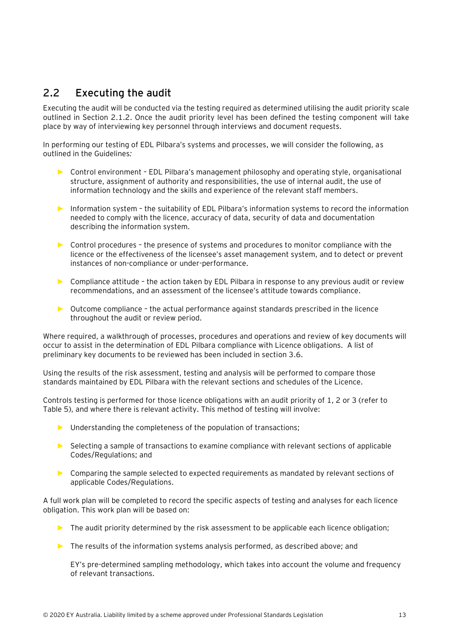## <span id="page-33-0"></span>**2.2 Executing the audit**

Executing the audit will be conducted via the testing required as determined utilising the audit priority scale outlined in Section 2.1.2. Once the audit priority level has been defined the testing component will take place by way of interviewing key personnel through interviews and document requests.

In performing our testing of EDL Pilbara's systems and processes, we will consider the following, as outlined in the Guidelines*:*

- ► Control environment EDL Pilbara's management philosophy and operating style, organisational structure, assignment of authority and responsibilities, the use of internal audit, the use of information technology and the skills and experience of the relevant staff members.
- ► Information system the suitability of EDL Pilbara's information systems to record the information needed to comply with the licence, accuracy of data, security of data and documentation describing the information system.
- ► Control procedures the presence of systems and procedures to monitor compliance with the licence or the effectiveness of the licensee's asset management system, and to detect or prevent instances of non-compliance or under-performance.
- ► Compliance attitude the action taken by EDL Pilbara in response to any previous audit or review recommendations, and an assessment of the licensee's attitude towards compliance.
- ► Outcome compliance the actual performance against standards prescribed in the licence throughout the audit or review period.

Where required, a walkthrough of processes, procedures and operations and review of key documents will occur to assist in the determination of EDL Pilbara compliance with Licence obligations. A list of preliminary key documents to be reviewed has been included in section 3.6.

Using the results of the risk assessment, testing and analysis will be performed to compare those standards maintained by EDL Pilbara with the relevant sections and schedules of the Licence.

Controls testing is performed for those licence obligations with an audit priority of 1, 2 or 3 (refer to Table 5), and where there is relevant activity. This method of testing will involve:

- ► Understanding the completeness of the population of transactions;
- ► Selecting a sample of transactions to examine compliance with relevant sections of applicable Codes/Regulations; and
- ► Comparing the sample selected to expected requirements as mandated by relevant sections of applicable Codes/Regulations.

A full work plan will be completed to record the specific aspects of testing and analyses for each licence obligation. This work plan will be based on:

- ► The audit priority determined by the risk assessment to be applicable each licence obligation;
- ► The results of the information systems analysis performed, as described above; and

EY's pre-determined sampling methodology, which takes into account the volume and frequency of relevant transactions.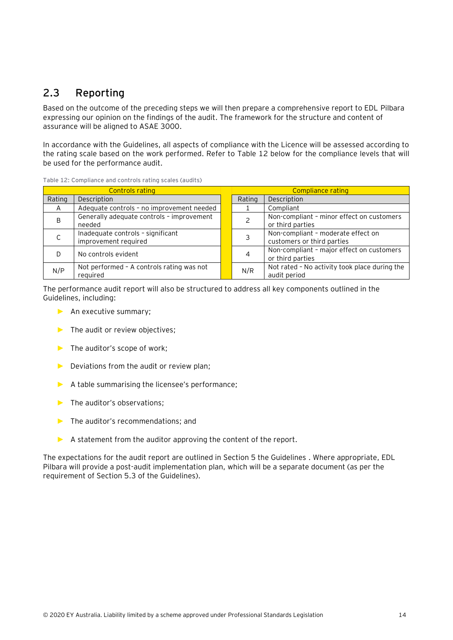## <span id="page-34-0"></span>**2.3 Reporting**

Based on the outcome of the preceding steps we will then prepare a comprehensive report to EDL Pilbara expressing our opinion on the findings of the audit. The framework for the structure and content of assurance will be aligned to ASAE 3000.

In accordance with the Guidelines, all aspects of compliance with the Licence will be assessed according to the rating scale based on the work performed. Refer to [Table 12](#page-34-1) below for the compliance levels that will be used for the performance audit.

| <b>Controls rating</b> |                                                           |  | Compliance rating     |                                                                  |  |
|------------------------|-----------------------------------------------------------|--|-----------------------|------------------------------------------------------------------|--|
| Rating                 | Description                                               |  | Description<br>Rating |                                                                  |  |
| A                      | Adequate controls - no improvement needed                 |  |                       | Compliant                                                        |  |
| B                      | Generally adequate controls - improvement<br>needed       |  |                       | Non-compliant - minor effect on customers<br>or third parties    |  |
|                        | Inadequate controls - significant<br>improvement required |  |                       | Non-compliant - moderate effect on<br>customers or third parties |  |
|                        | No controls evident                                       |  | 4                     | Non-compliant - major effect on customers<br>or third parties    |  |
| N/P                    | Not performed - A controls rating was not<br>reguired     |  | N/R                   | Not rated - No activity took place during the<br>audit period    |  |

<span id="page-34-1"></span>**Table 12: Compliance and controls rating scales (audits)**

The performance audit report will also be structured to address all key components outlined in the Guidelines, including:

- ► An executive summary;
- ► The audit or review objectives;
- ► The auditor's scope of work;
- ► Deviations from the audit or review plan;
- ► A table summarising the licensee's performance;
- ► The auditor's observations;
- ► The auditor's recommendations; and
- $\triangleright$  A statement from the auditor approving the content of the report.

The expectations for the audit report are outlined in Section 5 the Guidelines . Where appropriate, EDL Pilbara will provide a post-audit implementation plan, which will be a separate document (as per the requirement of Section 5.3 of the Guidelines).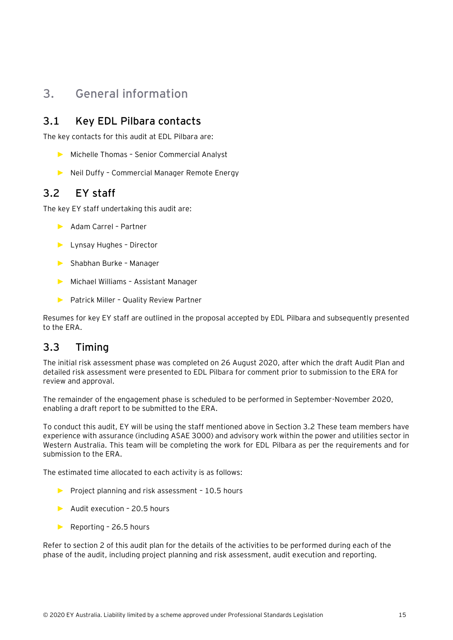## <span id="page-35-0"></span>**3. General information**

### <span id="page-35-1"></span>**3.1 Key EDL Pilbara contacts**

The key contacts for this audit at EDL Pilbara are:

- ► Michelle Thomas Senior Commercial Analyst
- ► Neil Duffy Commercial Manager Remote Energy

### <span id="page-35-2"></span>**3.2 EY staff**

The key EY staff undertaking this audit are:

- ► Adam Carrel Partner
- ► Lynsay Hughes Director
- ► Shabhan Burke Manager
- ► Michael Williams Assistant Manager
- ► Patrick Miller Quality Review Partner

Resumes for key EY staff are outlined in the proposal accepted by EDL Pilbara and subsequently presented to the ERA.

### <span id="page-35-3"></span>**3.3 Timing**

The initial risk assessment phase was completed on 26 August 2020, after which the draft Audit Plan and detailed risk assessment were presented to EDL Pilbara for comment prior to submission to the ERA for review and approval.

The remainder of the engagement phase is scheduled to be performed in September-November 2020, enabling a draft report to be submitted to the ERA.

To conduct this audit, EY will be using the staff mentioned above in Section 3.2 These team members have experience with assurance (including ASAE 3000) and advisory work within the power and utilities sector in Western Australia. This team will be completing the work for EDL Pilbara as per the requirements and for submission to the ERA.

The estimated time allocated to each activity is as follows:

- ► Project planning and risk assessment 10.5 hours
- ► Audit execution 20.5 hours
- ► Reporting 26.5 hours

Refer to section 2 of this audit plan for the details of the activities to be performed during each of the phase of the audit, including project planning and risk assessment, audit execution and reporting.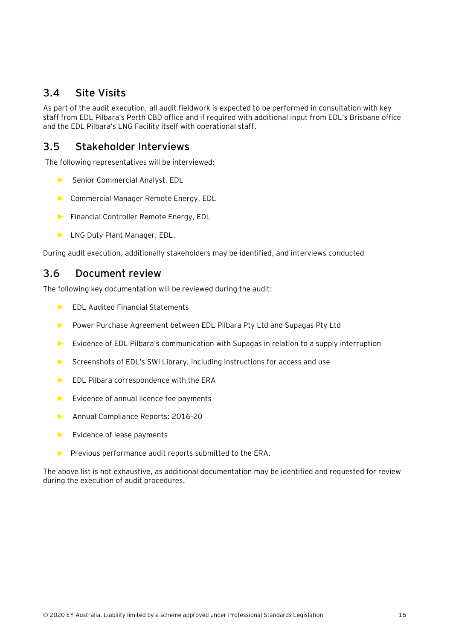### <span id="page-36-0"></span>**3.4 Site Visits**

As part of the audit execution, all audit fieldwork is expected to be performed in consultation with key staff from EDL Pilbara's Perth CBD office and if required with additional input from EDL's Brisbane office and the EDL Pilbara's LNG Facility itself with operational staff.

### <span id="page-36-1"></span>**3.5 Stakeholder Interviews**

The following representatives will be interviewed:

- ► Senior Commercial Analyst, EDL
- ► Commercial Manager Remote Energy, EDL
- ► Financial Controller Remote Energy, EDL
- ► LNG Duty Plant Manager, EDL.

During audit execution, additionally stakeholders may be identified, and interviews conducted

### <span id="page-36-2"></span>**3.6 Document review**

The following key documentation will be reviewed during the audit:

- ► EDL Audited Financial Statements
- ► Power Purchase Agreement between EDL Pilbara Pty Ltd and Supagas Pty Ltd
- ► Evidence of EDL Pilbara's communication with Supagas in relation to a supply interruption
- ► Screenshots of EDL's SWI Library, including instructions for access and use
- ► EDL Pilbara correspondence with the ERA
- ► Evidence of annual licence fee payments
- ► Annual Compliance Reports: 2016-20
- ► Evidence of lease payments
- ► Previous performance audit reports submitted to the ERA.

The above list is not exhaustive, as additional documentation may be identified and requested for review during the execution of audit procedures.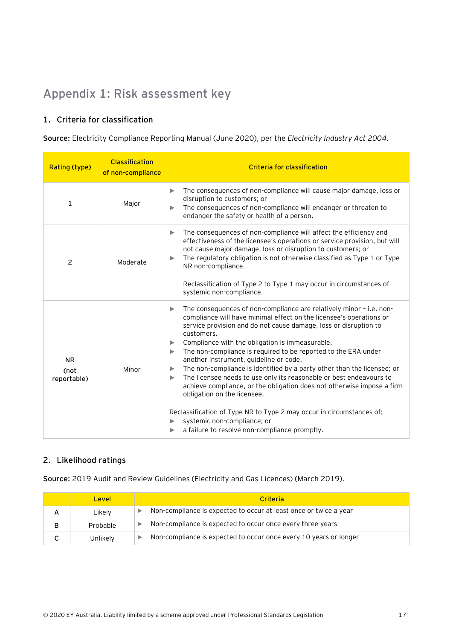## <span id="page-37-0"></span>**Appendix 1: Risk assessment key**

#### **1. Criteria for classification**

**Source:** Electricity Compliance Reporting Manual (June 2020), per the *Electricity Industry Act 2004.*

| Rating (type)                    | <b>Classification</b><br>of non-compliance | <b>Criteria for classification</b>                                                                                                                                                                                                                                                                                                                                                                                                                                                                                                                                                                                                                                                                                                                                                                                                                |
|----------------------------------|--------------------------------------------|---------------------------------------------------------------------------------------------------------------------------------------------------------------------------------------------------------------------------------------------------------------------------------------------------------------------------------------------------------------------------------------------------------------------------------------------------------------------------------------------------------------------------------------------------------------------------------------------------------------------------------------------------------------------------------------------------------------------------------------------------------------------------------------------------------------------------------------------------|
| 1                                | Major                                      | The consequences of non-compliance will cause major damage, loss or<br>▶<br>disruption to customers; or<br>The consequences of non-compliance will endanger or threaten to<br>▶<br>endanger the safety or health of a person.                                                                                                                                                                                                                                                                                                                                                                                                                                                                                                                                                                                                                     |
| 2                                | Moderate                                   | The consequences of non-compliance will affect the efficiency and<br>▶<br>effectiveness of the licensee's operations or service provision, but will<br>not cause major damage, loss or disruption to customers; or<br>The regulatory obligation is not otherwise classified as Type 1 or Type<br>▶<br>NR non-compliance.<br>Reclassification of Type 2 to Type 1 may occur in circumstances of<br>systemic non-compliance.                                                                                                                                                                                                                                                                                                                                                                                                                        |
| <b>NR</b><br>(not<br>reportable) | Minor                                      | The consequences of non-compliance are relatively minor - i.e. non-<br>▶<br>compliance will have minimal effect on the licensee's operations or<br>service provision and do not cause damage, loss or disruption to<br>customers.<br>Compliance with the obligation is immeasurable.<br>▶<br>The non-compliance is required to be reported to the ERA under<br>▶<br>another instrument, guideline or code.<br>The non-compliance is identified by a party other than the licensee; or<br>▶<br>The licensee needs to use only its reasonable or best endeavours to<br>▶<br>achieve compliance, or the obligation does not otherwise impose a firm<br>obligation on the licensee.<br>Reclassification of Type NR to Type 2 may occur in circumstances of:<br>systemic non-compliance; or<br>▶<br>a failure to resolve non-compliance promptly.<br>▶ |

#### **2. Likelihood ratings**

**Source:** 2019 Audit and Review Guidelines (Electricity and Gas Licences) (March 2019)*.*

|   | Level    | <b>Criteria</b>                                                   |
|---|----------|-------------------------------------------------------------------|
|   | Likely   | Non-compliance is expected to occur at least once or twice a year |
| в | Probable | Non-compliance is expected to occur once every three years        |
|   | Unlikely | Non-compliance is expected to occur once every 10 years or longer |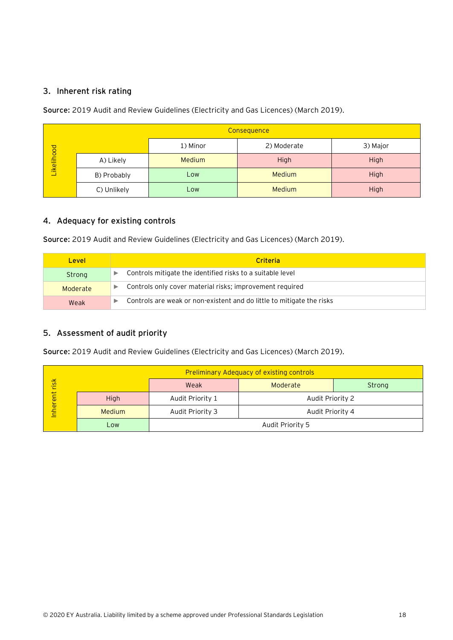#### **3. Inherent risk rating**

**Source:** 2019 Audit and Review Guidelines (Electricity and Gas Licences) (March 2019)*.*

|            | Consequence        |               |             |          |  |  |  |  |
|------------|--------------------|---------------|-------------|----------|--|--|--|--|
| Likelihood |                    | 1) Minor      | 2) Moderate | 3) Major |  |  |  |  |
|            | A) Likely          | <b>Medium</b> | High        | High     |  |  |  |  |
|            | B) Probably<br>Low |               | Medium      | High     |  |  |  |  |
|            | C) Unlikely        | <b>Low</b>    | Medium      | High     |  |  |  |  |

#### **4. Adequacy for existing controls**

**Source:** 2019 Audit and Review Guidelines (Electricity and Gas Licences) (March 2019)*.*

| <b>Level</b> | Criteria                                                              |  |  |  |  |
|--------------|-----------------------------------------------------------------------|--|--|--|--|
| Strong       | Controls mitigate the identified risks to a suitable level            |  |  |  |  |
| Moderate     | Controls only cover material risks; improvement required<br>▶         |  |  |  |  |
| Weak         | Controls are weak or non-existent and do little to mitigate the risks |  |  |  |  |

#### **5. Assessment of audit priority**

**Source:** 2019 Audit and Review Guidelines (Electricity and Gas Licences) (March 2019)*.*

|               |               | <b>Preliminary Adequacy of existing controls</b> |                  |        |  |  |  |
|---------------|---------------|--------------------------------------------------|------------------|--------|--|--|--|
|               |               | Weak                                             | Moderate         | Strong |  |  |  |
| Inherent risk | High          | Audit Priority 1                                 | Audit Priority 2 |        |  |  |  |
|               | <b>Medium</b> | Audit Priority 3                                 | Audit Priority 4 |        |  |  |  |
|               | Low           |                                                  | Audit Priority 5 |        |  |  |  |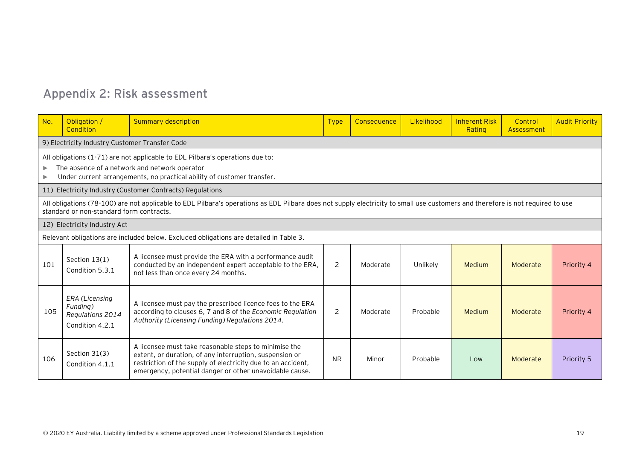# **Appendix 2: Risk assessment**

<span id="page-39-0"></span>

| No. | Obligation /<br>Condition                                                                                                                                                                                | <b>Summary description</b>                                                                                                                                                                                                                  | <b>Type</b> | Consequence | Likelihood | <b>Inherent Risk</b><br>Rating | Control<br>Assessment | <b>Audit Priority</b> |  |  |
|-----|----------------------------------------------------------------------------------------------------------------------------------------------------------------------------------------------------------|---------------------------------------------------------------------------------------------------------------------------------------------------------------------------------------------------------------------------------------------|-------------|-------------|------------|--------------------------------|-----------------------|-----------------------|--|--|
|     | 9) Electricity Industry Customer Transfer Code                                                                                                                                                           |                                                                                                                                                                                                                                             |             |             |            |                                |                       |                       |  |  |
| ь   | All obligations (1-71) are not applicable to EDL Pilbara's operations due to:<br>The absence of a network and network operator<br>Under current arrangements, no practical ability of customer transfer. |                                                                                                                                                                                                                                             |             |             |            |                                |                       |                       |  |  |
|     |                                                                                                                                                                                                          | 11) Electricity Industry (Customer Contracts) Regulations                                                                                                                                                                                   |             |             |            |                                |                       |                       |  |  |
|     | standard or non-standard form contracts.                                                                                                                                                                 | All obligations (78-100) are not applicable to EDL Pilbara's operations as EDL Pilbara does not supply electricity to small use customers and therefore is not required to use                                                              |             |             |            |                                |                       |                       |  |  |
|     | 12) Electricity Industry Act                                                                                                                                                                             |                                                                                                                                                                                                                                             |             |             |            |                                |                       |                       |  |  |
|     |                                                                                                                                                                                                          | Relevant obligations are included below. Excluded obligations are detailed in Table 3.                                                                                                                                                      |             |             |            |                                |                       |                       |  |  |
| 101 | Section $13(1)$<br>Condition 5.3.1                                                                                                                                                                       | A licensee must provide the ERA with a performance audit<br>conducted by an independent expert acceptable to the ERA,<br>not less than once every 24 months.                                                                                | 2           | Moderate    | Unlikely   | <b>Medium</b>                  | Moderate              | Priority 4            |  |  |
| 105 | ERA (Licensing<br>Funding)<br>Regulations 2014<br>Condition 4.2.1                                                                                                                                        | A licensee must pay the prescribed licence fees to the ERA<br>according to clauses 6, 7 and 8 of the Economic Regulation<br>Authority (Licensing Funding) Regulations 2014.                                                                 | 2           | Moderate    | Probable   | Medium                         | Moderate              | Priority 4            |  |  |
| 106 | Section 31(3)<br>Condition 4.1.1                                                                                                                                                                         | A licensee must take reasonable steps to minimise the<br>extent, or duration, of any interruption, suspension or<br>restriction of the supply of electricity due to an accident,<br>emergency, potential danger or other unavoidable cause. | <b>NR</b>   | Minor       | Probable   | Low                            | Moderate              | Priority 5            |  |  |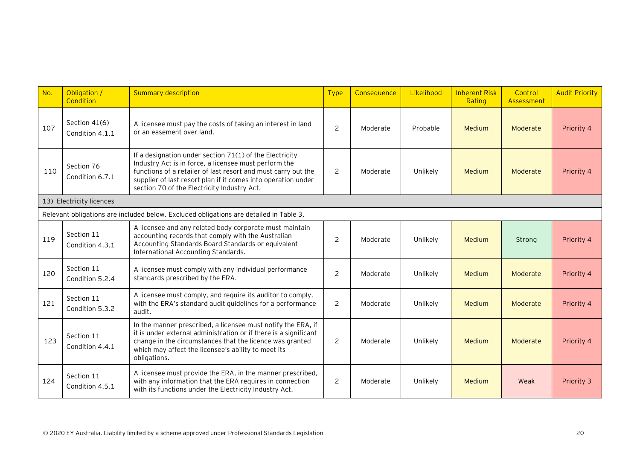| No. | Obligation /<br>Condition        | <b>Summary description</b>                                                                                                                                                                                                                                                                        | <b>Type</b>    | Consequence | Likelihood | <b>Inherent Risk</b><br>Rating | Control<br>Assessment | <b>Audit Priority</b> |
|-----|----------------------------------|---------------------------------------------------------------------------------------------------------------------------------------------------------------------------------------------------------------------------------------------------------------------------------------------------|----------------|-------------|------------|--------------------------------|-----------------------|-----------------------|
| 107 | Section 41(6)<br>Condition 4.1.1 | A licensee must pay the costs of taking an interest in land<br>or an easement over land.                                                                                                                                                                                                          | 2              | Moderate    | Probable   | Medium                         | Moderate              | Priority 4            |
| 110 | Section 76<br>Condition 6.7.1    | If a designation under section 71(1) of the Electricity<br>Industry Act is in force, a licensee must perform the<br>functions of a retailer of last resort and must carry out the<br>supplier of last resort plan if it comes into operation under<br>section 70 of the Electricity Industry Act. | $\overline{c}$ | Moderate    | Unlikely   | Medium                         | Moderate              | Priority 4            |
|     | 13) Electricity licences         |                                                                                                                                                                                                                                                                                                   |                |             |            |                                |                       |                       |
|     |                                  | Relevant obligations are included below. Excluded obligations are detailed in Table 3.                                                                                                                                                                                                            |                |             |            |                                |                       |                       |
| 119 | Section 11<br>Condition 4.3.1    | A licensee and any related body corporate must maintain<br>accounting records that comply with the Australian<br>Accounting Standards Board Standards or equivalent<br>International Accounting Standards.                                                                                        | $\overline{c}$ | Moderate    | Unlikely   | Medium                         | Strong                | Priority 4            |
| 120 | Section 11<br>Condition 5.2.4    | A licensee must comply with any individual performance<br>standards prescribed by the ERA.                                                                                                                                                                                                        | $\overline{c}$ | Moderate    | Unlikely   | Medium                         | Moderate              | Priority 4            |
| 121 | Section 11<br>Condition 5.3.2    | A licensee must comply, and require its auditor to comply,<br>with the ERA's standard audit guidelines for a performance<br>audit.                                                                                                                                                                | 2              | Moderate    | Unlikely   | Medium                         | Moderate              | Priority 4            |
| 123 | Section 11<br>Condition 4.4.1    | In the manner prescribed, a licensee must notify the ERA, if<br>it is under external administration or if there is a significant<br>change in the circumstances that the licence was granted<br>which may affect the licensee's ability to meet its<br>obligations.                               | 2              | Moderate    | Unlikely   | Medium                         | Moderate              | Priority 4            |
| 124 | Section 11<br>Condition 4.5.1    | A licensee must provide the ERA, in the manner prescribed,<br>with any information that the ERA requires in connection<br>with its functions under the Electricity Industry Act.                                                                                                                  | $\overline{2}$ | Moderate    | Unlikely   | Medium                         | Weak                  | Priority 3            |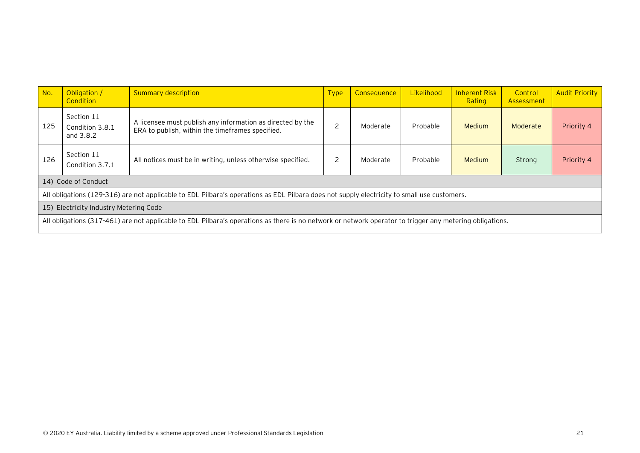| No.                                                                                                                                         | Obligation /<br>Condition                                                                                                                                | <b>Summary description</b>                                                                                     | <b>Type</b>              | <b>Consequence</b> | Likelihood | <b>Inherent Risk</b><br>Rating | Control<br>Assessment | <b>Audit Priority</b> |
|---------------------------------------------------------------------------------------------------------------------------------------------|----------------------------------------------------------------------------------------------------------------------------------------------------------|----------------------------------------------------------------------------------------------------------------|--------------------------|--------------------|------------|--------------------------------|-----------------------|-----------------------|
| 125                                                                                                                                         | Section 11<br>Condition 3.8.1<br>and 3.8.2                                                                                                               | A licensee must publish any information as directed by the<br>ERA to publish, within the timeframes specified. | $\overline{\phantom{0}}$ | Moderate           | Probable   | <b>Medium</b>                  | Moderate              | Priority 4            |
| 126                                                                                                                                         | Section 11<br>Condition 3.7.1                                                                                                                            | All notices must be in writing, unless otherwise specified.                                                    | 2                        | Moderate           | Probable   | <b>Medium</b>                  | Strong                | Priority 4            |
|                                                                                                                                             | 14) Code of Conduct                                                                                                                                      |                                                                                                                |                          |                    |            |                                |                       |                       |
| All obligations (129-316) are not applicable to EDL Pilbara's operations as EDL Pilbara does not supply electricity to small use customers. |                                                                                                                                                          |                                                                                                                |                          |                    |            |                                |                       |                       |
| Electricity Industry Metering Code<br>15)                                                                                                   |                                                                                                                                                          |                                                                                                                |                          |                    |            |                                |                       |                       |
|                                                                                                                                             | All obligations (317-461) are not applicable to EDL Pilbara's operations as there is no network or network operator to trigger any metering obligations. |                                                                                                                |                          |                    |            |                                |                       |                       |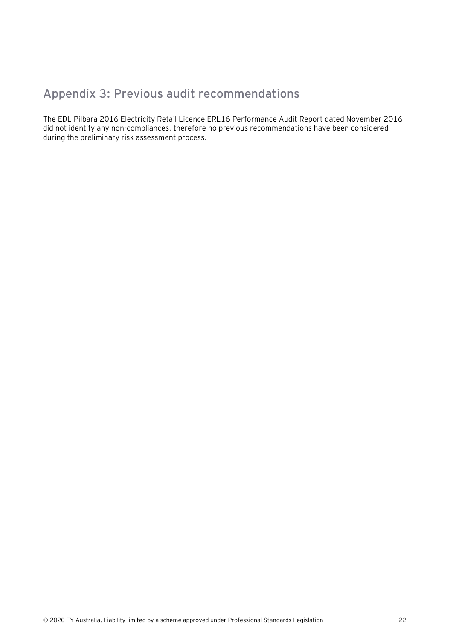## <span id="page-42-0"></span>**Appendix 3: Previous audit recommendations**

The EDL Pilbara 2016 Electricity Retail Licence ERL16 Performance Audit Report dated November 2016 did not identify any non-compliances, therefore no previous recommendations have been considered during the preliminary risk assessment process.